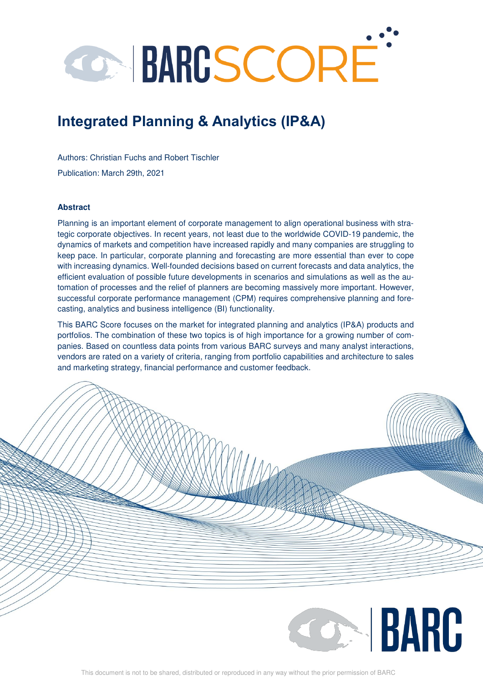# **CARGSCORE**

# **Integrated Planning & Analytics (IP&A)**

Authors: Christian Fuchs and Robert Tischler Publication: March 29th, 2021

#### **Abstract**

Planning is an important element of corporate management to align operational business with strategic corporate objectives. In recent years, not least due to the worldwide COVID-19 pandemic, the dynamics of markets and competition have increased rapidly and many companies are struggling to keep pace. In particular, corporate planning and forecasting are more essential than ever to cope with increasing dynamics. Well-founded decisions based on current forecasts and data analytics, the efficient evaluation of possible future developments in scenarios and simulations as well as the automation of processes and the relief of planners are becoming massively more important. However, successful corporate performance management (CPM) requires comprehensive planning and forecasting, analytics and business intelligence (BI) functionality.

This BARC Score focuses on the market for integrated planning and analytics (IP&A) products and portfolios. The combination of these two topics is of high importance for a growing number of companies. Based on countless data points from various BARC surveys and many analyst interactions, vendors are rated on a variety of criteria, ranging from portfolio capabilities and architecture to sales and marketing strategy, financial performance and customer feedback.

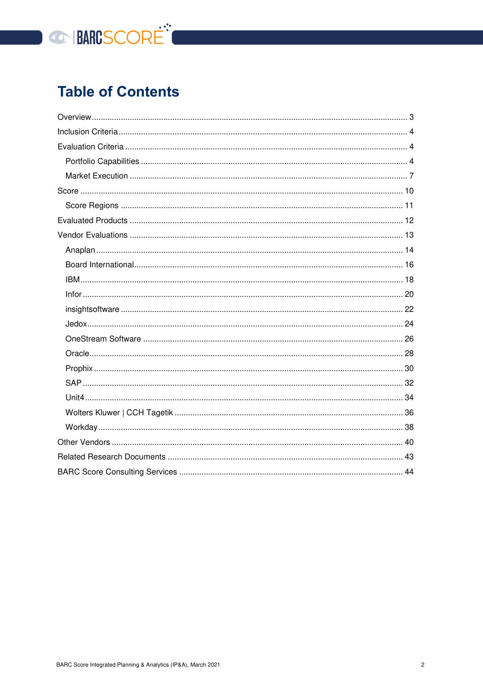

# **Table of Contents**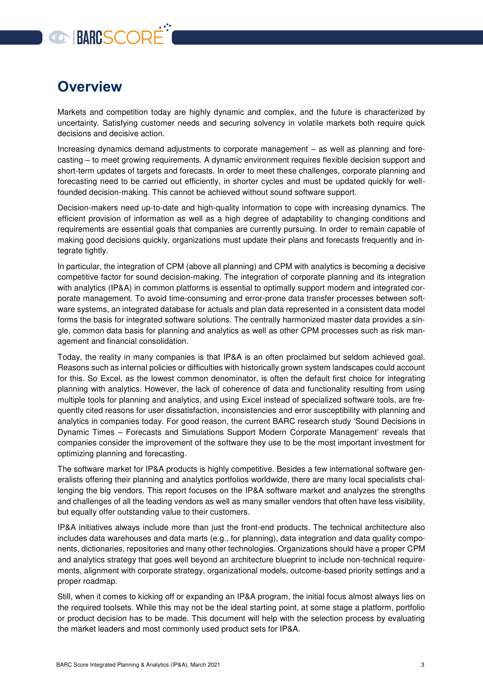# **GO BARCSCORE**

## <span id="page-2-0"></span>**Overview**

Markets and competition today are highly dynamic and complex, and the future is characterized by uncertainty. Satisfying customer needs and securing solvency in volatile markets both require quick decisions and decisive action.

Increasing dynamics demand adjustments to corporate management – as well as planning and forecasting – to meet growing requirements. A dynamic environment requires flexible decision support and short-term updates of targets and forecasts. In order to meet these challenges, corporate planning and forecasting need to be carried out efficiently, in shorter cycles and must be updated quickly for wellfounded decision-making. This cannot be achieved without sound software support.

Decision-makers need up-to-date and high-quality information to cope with increasing dynamics. The efficient provision of information as well as a high degree of adaptability to changing conditions and requirements are essential goals that companies are currently pursuing. In order to remain capable of making good decisions quickly, organizations must update their plans and forecasts frequently and integrate tightly.

In particular, the integration of CPM (above all planning) and CPM with analytics is becoming a decisive competitive factor for sound decision-making. The integration of corporate planning and its integration with analytics (IP&A) in common platforms is essential to optimally support modern and integrated corporate management. To avoid time-consuming and error-prone data transfer processes between software systems, an integrated database for actuals and plan data represented in a consistent data model forms the basis for integrated software solutions. The centrally harmonized master data provides a single, common data basis for planning and analytics as well as other CPM processes such as risk management and financial consolidation.

Today, the reality in many companies is that IP&A is an often proclaimed but seldom achieved goal. Reasons such as internal policies or difficulties with historically grown system landscapes could account for this. So Excel, as the lowest common denominator, is often the default first choice for integrating planning with analytics. However, the lack of coherence of data and functionality resulting from using multiple tools for planning and analytics, and using Excel instead of specialized software tools, are frequently cited reasons for user dissatisfaction, inconsistencies and error susceptibility with planning and analytics in companies today. For good reason, the current BARC research study 'Sound Decisions in Dynamic Times – Forecasts and Simulations Support Modern Corporate Management' reveals that companies consider the improvement of the software they use to be the most important investment for optimizing planning and forecasting.

The software market for IP&A products is highly competitive. Besides a few international software generalists offering their planning and analytics portfolios worldwide, there are many local specialists challenging the big vendors. This report focuses on the IP&A software market and analyzes the strengths and challenges of all the leading vendors as well as many smaller vendors that often have less visibility, but equally offer outstanding value to their customers.

IP&A initiatives always include more than just the front-end products. The technical architecture also includes data warehouses and data marts (e.g., for planning), data integration and data quality components, dictionaries, repositories and many other technologies. Organizations should have a proper CPM and analytics strategy that goes well beyond an architecture blueprint to include non-technical requirements, alignment with corporate strategy, organizational models, outcome-based priority settings and a proper roadmap.

Still, when it comes to kicking off or expanding an IP&A program, the initial focus almost always lies on the required toolsets. While this may not be the ideal starting point, at some stage a platform, portfolio or product decision has to be made. This document will help with the selection process by evaluating the market leaders and most commonly used product sets for IP&A.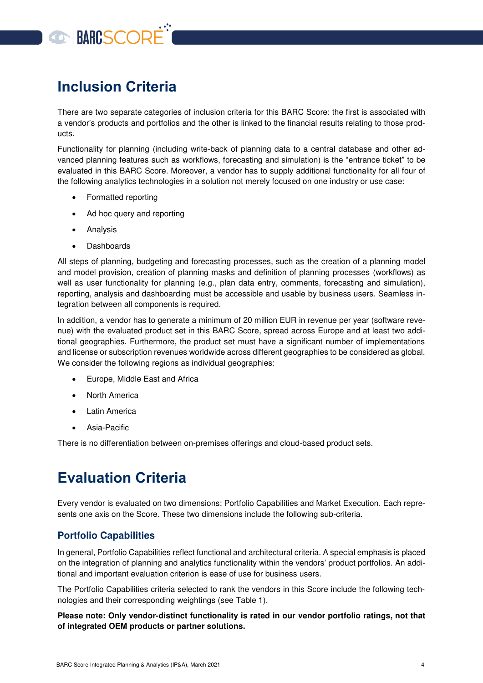

## <span id="page-3-0"></span>**Inclusion Criteria**

There are two separate categories of inclusion criteria for this BARC Score: the first is associated with a vendor's products and portfolios and the other is linked to the financial results relating to those products.

Functionality for planning (including write-back of planning data to a central database and other advanced planning features such as workflows, forecasting and simulation) is the "entrance ticket" to be evaluated in this BARC Score. Moreover, a vendor has to supply additional functionality for all four of the following analytics technologies in a solution not merely focused on one industry or use case:

- Formatted reporting
- Ad hoc query and reporting
- Analysis
- Dashboards

All steps of planning, budgeting and forecasting processes, such as the creation of a planning model and model provision, creation of planning masks and definition of planning processes (workflows) as well as user functionality for planning (e.g., plan data entry, comments, forecasting and simulation), reporting, analysis and dashboarding must be accessible and usable by business users. Seamless integration between all components is required.

In addition, a vendor has to generate a minimum of 20 million EUR in revenue per year (software revenue) with the evaluated product set in this BARC Score, spread across Europe and at least two additional geographies. Furthermore, the product set must have a significant number of implementations and license or subscription revenues worldwide across different geographies to be considered as global. We consider the following regions as individual geographies:

- Europe, Middle East and Africa
- North America
- Latin America
- Asia-Pacific

There is no differentiation between on-premises offerings and cloud-based product sets.

## <span id="page-3-1"></span>**Evaluation Criteria**

Every vendor is evaluated on two dimensions: Portfolio Capabilities and Market Execution. Each represents one axis on the Score. These two dimensions include the following sub-criteria.

#### <span id="page-3-2"></span>**Portfolio Capabilities**

In general, Portfolio Capabilities reflect functional and architectural criteria. A special emphasis is placed on the integration of planning and analytics functionality within the vendors' product portfolios. An additional and important evaluation criterion is ease of use for business users.

The Portfolio Capabilities criteria selected to rank the vendors in this Score include the following technologies and their corresponding weightings (see [Table 1\)](#page-6-1).

**Please note: Only vendor-distinct functionality is rated in our vendor portfolio ratings, not that of integrated OEM products or partner solutions.**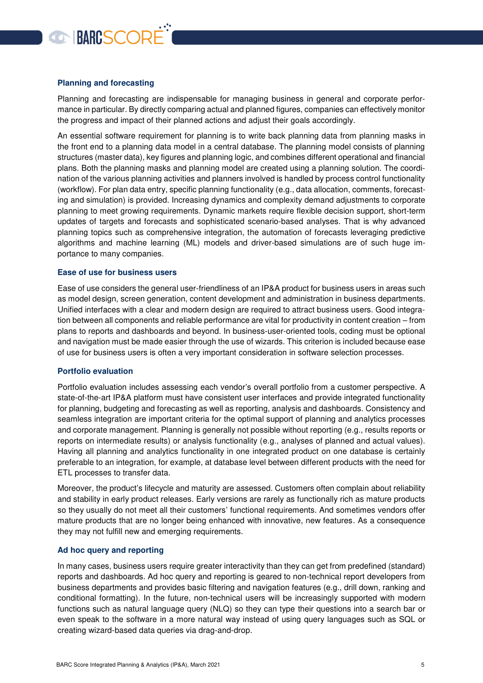# **CONNECORE**

#### **Planning and forecasting**

Planning and forecasting are indispensable for managing business in general and corporate performance in particular. By directly comparing actual and planned figures, companies can effectively monitor the progress and impact of their planned actions and adjust their goals accordingly.

An essential software requirement for planning is to write back planning data from planning masks in the front end to a planning data model in a central database. The planning model consists of planning structures (master data), key figures and planning logic, and combines different operational and financial plans. Both the planning masks and planning model are created using a planning solution. The coordination of the various planning activities and planners involved is handled by process control functionality (workflow). For plan data entry, specific planning functionality (e.g., data allocation, comments, forecasting and simulation) is provided. Increasing dynamics and complexity demand adjustments to corporate planning to meet growing requirements. Dynamic markets require flexible decision support, short-term updates of targets and forecasts and sophisticated scenario-based analyses. That is why advanced planning topics such as comprehensive integration, the automation of forecasts leveraging predictive algorithms and machine learning (ML) models and driver-based simulations are of such huge importance to many companies.

#### **Ease of use for business users**

Ease of use considers the general user-friendliness of an IP&A product for business users in areas such as model design, screen generation, content development and administration in business departments. Unified interfaces with a clear and modern design are required to attract business users. Good integration between all components and reliable performance are vital for productivity in content creation – from plans to reports and dashboards and beyond. In business-user-oriented tools, coding must be optional and navigation must be made easier through the use of wizards. This criterion is included because ease of use for business users is often a very important consideration in software selection processes.

#### **Portfolio evaluation**

Portfolio evaluation includes assessing each vendor's overall portfolio from a customer perspective. A state-of-the-art IP&A platform must have consistent user interfaces and provide integrated functionality for planning, budgeting and forecasting as well as reporting, analysis and dashboards. Consistency and seamless integration are important criteria for the optimal support of planning and analytics processes and corporate management. Planning is generally not possible without reporting (e.g., results reports or reports on intermediate results) or analysis functionality (e.g., analyses of planned and actual values). Having all planning and analytics functionality in one integrated product on one database is certainly preferable to an integration, for example, at database level between different products with the need for ETL processes to transfer data.

Moreover, the product's lifecycle and maturity are assessed. Customers often complain about reliability and stability in early product releases. Early versions are rarely as functionally rich as mature products so they usually do not meet all their customers' functional requirements. And sometimes vendors offer mature products that are no longer being enhanced with innovative, new features. As a consequence they may not fulfill new and emerging requirements.

#### **Ad hoc query and reporting**

In many cases, business users require greater interactivity than they can get from predefined (standard) reports and dashboards. Ad hoc query and reporting is geared to non-technical report developers from business departments and provides basic filtering and navigation features (e.g., drill down, ranking and conditional formatting). In the future, non-technical users will be increasingly supported with modern functions such as natural language query (NLQ) so they can type their questions into a search bar or even speak to the software in a more natural way instead of using query languages such as SQL or creating wizard-based data queries via drag-and-drop.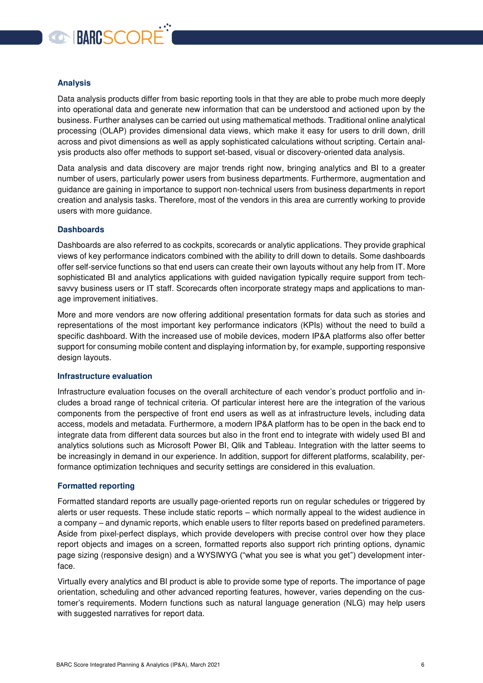# **CONNECTED**

#### **Analysis**

Data analysis products differ from basic reporting tools in that they are able to probe much more deeply into operational data and generate new information that can be understood and actioned upon by the business. Further analyses can be carried out using mathematical methods. Traditional online analytical processing (OLAP) provides dimensional data views, which make it easy for users to drill down, drill across and pivot dimensions as well as apply sophisticated calculations without scripting. Certain analysis products also offer methods to support set-based, visual or discovery-oriented data analysis.

Data analysis and data discovery are major trends right now, bringing analytics and BI to a greater number of users, particularly power users from business departments. Furthermore, augmentation and guidance are gaining in importance to support non-technical users from business departments in report creation and analysis tasks. Therefore, most of the vendors in this area are currently working to provide users with more guidance.

#### **Dashboards**

Dashboards are also referred to as cockpits, scorecards or analytic applications. They provide graphical views of key performance indicators combined with the ability to drill down to details. Some dashboards offer self-service functions so that end users can create their own layouts without any help from IT. More sophisticated BI and analytics applications with guided navigation typically require support from techsavvy business users or IT staff. Scorecards often incorporate strategy maps and applications to manage improvement initiatives.

More and more vendors are now offering additional presentation formats for data such as stories and representations of the most important key performance indicators (KPIs) without the need to build a specific dashboard. With the increased use of mobile devices, modern IP&A platforms also offer better support for consuming mobile content and displaying information by, for example, supporting responsive design layouts.

#### **Infrastructure evaluation**

Infrastructure evaluation focuses on the overall architecture of each vendor's product portfolio and includes a broad range of technical criteria. Of particular interest here are the integration of the various components from the perspective of front end users as well as at infrastructure levels, including data access, models and metadata. Furthermore, a modern IP&A platform has to be open in the back end to integrate data from different data sources but also in the front end to integrate with widely used BI and analytics solutions such as Microsoft Power BI, Qlik and Tableau. Integration with the latter seems to be increasingly in demand in our experience. In addition, support for different platforms, scalability, performance optimization techniques and security settings are considered in this evaluation.

#### **Formatted reporting**

Formatted standard reports are usually page-oriented reports run on regular schedules or triggered by alerts or user requests. These include static reports – which normally appeal to the widest audience in a company – and dynamic reports, which enable users to filter reports based on predefined parameters. Aside from pixel-perfect displays, which provide developers with precise control over how they place report objects and images on a screen, formatted reports also support rich printing options, dynamic page sizing (responsive design) and a WYSIWYG ("what you see is what you get") development interface.

Virtually every analytics and BI product is able to provide some type of reports. The importance of page orientation, scheduling and other advanced reporting features, however, varies depending on the customer's requirements. Modern functions such as natural language generation (NLG) may help users with suggested narratives for report data.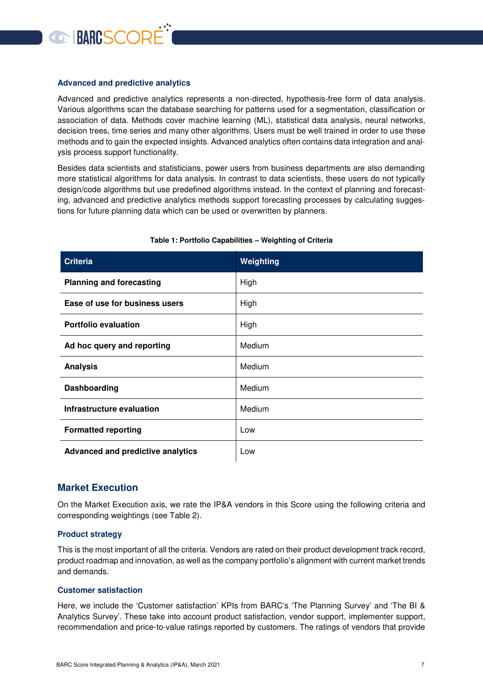

#### **Advanced and predictive analytics**

Advanced and predictive analytics represents a non-directed, hypothesis-free form of data analysis. Various algorithms scan the database searching for patterns used for a segmentation, classification or association of data. Methods cover machine learning (ML), statistical data analysis, neural networks, decision trees, time series and many other algorithms. Users must be well trained in order to use these methods and to gain the expected insights. Advanced analytics often contains data integration and analysis process support functionality.

Besides data scientists and statisticians, power users from business departments are also demanding more statistical algorithms for data analysis. In contrast to data scientists, these users do not typically design/code algorithms but use predefined algorithms instead. In the context of planning and forecasting, advanced and predictive analytics methods support forecasting processes by calculating suggestions for future planning data which can be used or overwritten by planners.

<span id="page-6-1"></span>

| <b>Criteria</b>                          | Weighting |
|------------------------------------------|-----------|
| <b>Planning and forecasting</b>          | High      |
| Ease of use for business users           | High      |
| <b>Portfolio evaluation</b>              | High      |
| Ad hoc query and reporting               | Medium    |
| <b>Analysis</b>                          | Medium    |
| Dashboarding                             | Medium    |
| Infrastructure evaluation                | Medium    |
| <b>Formatted reporting</b>               | Low       |
| <b>Advanced and predictive analytics</b> | Low       |

#### **Table 1: Portfolio Capabilities – Weighting of Criteria**

#### <span id="page-6-0"></span>**Market Execution**

On the Market Execution axis, we rate the IP&A vendors in this Score using the following criteria and corresponding weightings (see [Table 2\)](#page-7-0).

#### **Product strategy**

This is the most important of all the criteria. Vendors are rated on their product development track record, product roadmap and innovation, as well as the company portfolio's alignment with current market trends and demands.

#### **Customer satisfaction**

Here, we include the 'Customer satisfaction' KPIs from BARC's 'The Planning Survey' and 'The BI & Analytics Survey'. These take into account product satisfaction, vendor support, implementer support, recommendation and price-to-value ratings reported by customers. The ratings of vendors that provide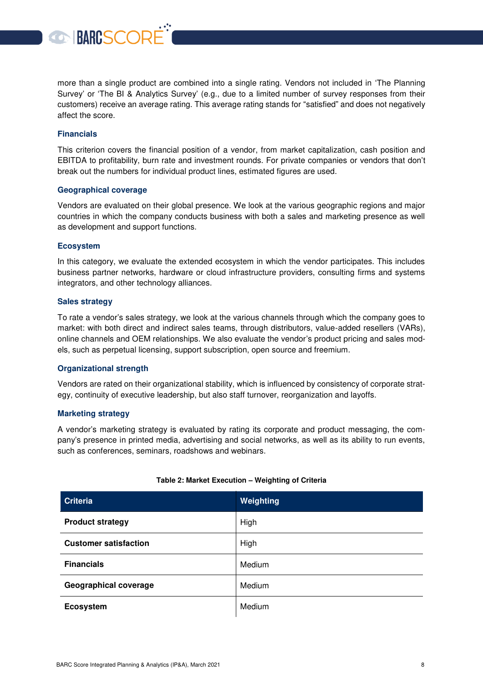more than a single product are combined into a single rating. Vendors not included in 'The Planning Survey' or 'The BI & Analytics Survey' (e.g., due to a limited number of survey responses from their customers) receive an average rating. This average rating stands for "satisfied" and does not negatively affect the score.

#### **Financials**

This criterion covers the financial position of a vendor, from market capitalization, cash position and EBITDA to profitability, burn rate and investment rounds. For private companies or vendors that don't break out the numbers for individual product lines, estimated figures are used.

#### **Geographical coverage**

**BARCSCORE** 

Vendors are evaluated on their global presence. We look at the various geographic regions and major countries in which the company conducts business with both a sales and marketing presence as well as development and support functions.

#### **Ecosystem**

In this category, we evaluate the extended ecosystem in which the vendor participates. This includes business partner networks, hardware or cloud infrastructure providers, consulting firms and systems integrators, and other technology alliances.

#### **Sales strategy**

To rate a vendor's sales strategy, we look at the various channels through which the company goes to market: with both direct and indirect sales teams, through distributors, value-added resellers (VARs), online channels and OEM relationships. We also evaluate the vendor's product pricing and sales models, such as perpetual licensing, support subscription, open source and freemium.

#### **Organizational strength**

Vendors are rated on their organizational stability, which is influenced by consistency of corporate strategy, continuity of executive leadership, but also staff turnover, reorganization and layoffs.

#### **Marketing strategy**

A vendor's marketing strategy is evaluated by rating its corporate and product messaging, the company's presence in printed media, advertising and social networks, as well as its ability to run events, such as conferences, seminars, roadshows and webinars.

<span id="page-7-0"></span>

| <b>Criteria</b>              | Weighting |
|------------------------------|-----------|
| <b>Product strategy</b>      | High      |
| <b>Customer satisfaction</b> | High      |
| <b>Financials</b>            | Medium    |
| <b>Geographical coverage</b> | Medium    |
| <b>Ecosystem</b>             | Medium    |

#### **Table 2: Market Execution – Weighting of Criteria**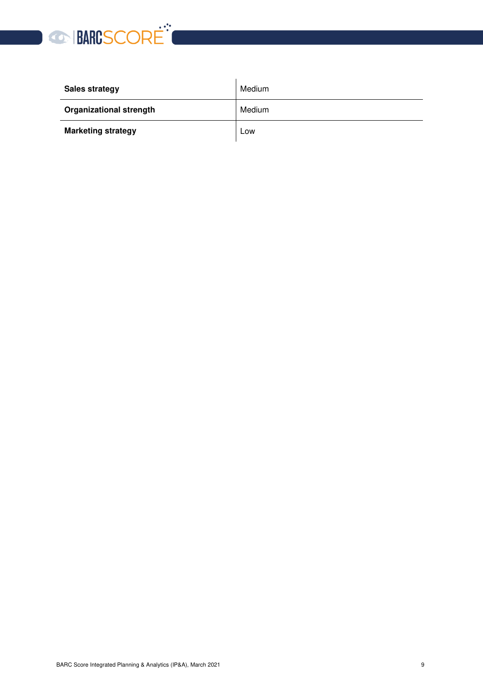

| <b>Sales strategy</b>          | Medium |
|--------------------------------|--------|
| <b>Organizational strength</b> | Medium |
| <b>Marketing strategy</b>      | Low    |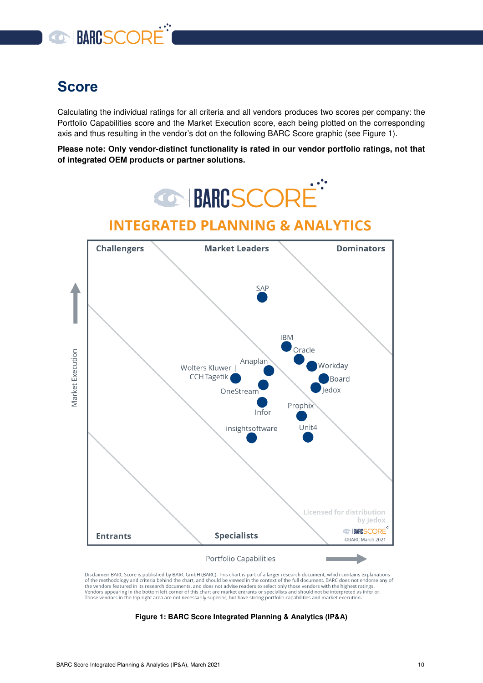

## <span id="page-9-0"></span>**Score**

Calculating the individual ratings for all criteria and all vendors produces two scores per company: the Portfolio Capabilities score and the Market Execution score, each being plotted on the corresponding axis and thus resulting in the vendor's dot on the following BARC Score graphic (see [Figure 1\)](#page-9-1).

**Please note: Only vendor-distinct functionality is rated in our vendor portfolio ratings, not that of integrated OEM products or partner solutions.**



<span id="page-9-1"></span>Disclaimer: BARC Score is published by BARC GmbH (BARC). This chart is part of a larger research document, which contains explanations of the methodology and criteria behind the chart, and should be viewed in the context of the full document. BARC does not endorse any of<br>the vendors featured in its research documents, and does not advise readers to select The venture in this research operation. And were not above readers to select only does venture suppresent and provide the bottom left corner of this chart are market entrants or specialists and should not be interpreted as

**Figure 1: BARC Score Integrated Planning & Analytics (IP&A)**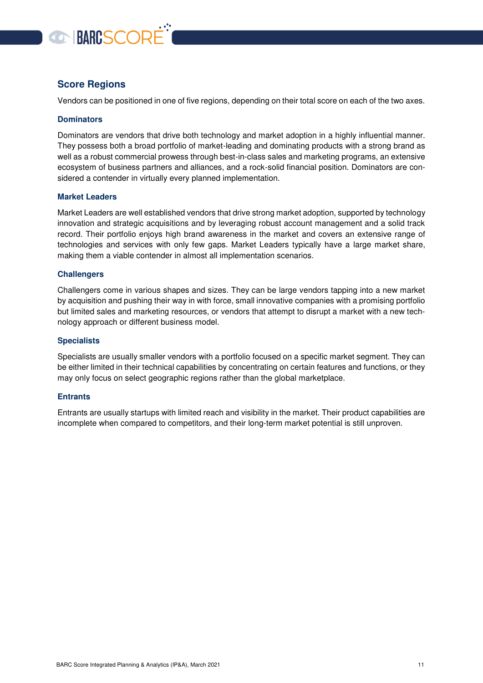

#### <span id="page-10-0"></span>**Score Regions**

Vendors can be positioned in one of five regions, depending on their total score on each of the two axes.

#### **Dominators**

Dominators are vendors that drive both technology and market adoption in a highly influential manner. They possess both a broad portfolio of market-leading and dominating products with a strong brand as well as a robust commercial prowess through best-in-class sales and marketing programs, an extensive ecosystem of business partners and alliances, and a rock-solid financial position. Dominators are considered a contender in virtually every planned implementation.

#### **Market Leaders**

Market Leaders are well established vendors that drive strong market adoption, supported by technology innovation and strategic acquisitions and by leveraging robust account management and a solid track record. Their portfolio enjoys high brand awareness in the market and covers an extensive range of technologies and services with only few gaps. Market Leaders typically have a large market share, making them a viable contender in almost all implementation scenarios.

#### **Challengers**

Challengers come in various shapes and sizes. They can be large vendors tapping into a new market by acquisition and pushing their way in with force, small innovative companies with a promising portfolio but limited sales and marketing resources, or vendors that attempt to disrupt a market with a new technology approach or different business model.

#### **Specialists**

Specialists are usually smaller vendors with a portfolio focused on a specific market segment. They can be either limited in their technical capabilities by concentrating on certain features and functions, or they may only focus on select geographic regions rather than the global marketplace.

#### **Entrants**

Entrants are usually startups with limited reach and visibility in the market. Their product capabilities are incomplete when compared to competitors, and their long-term market potential is still unproven.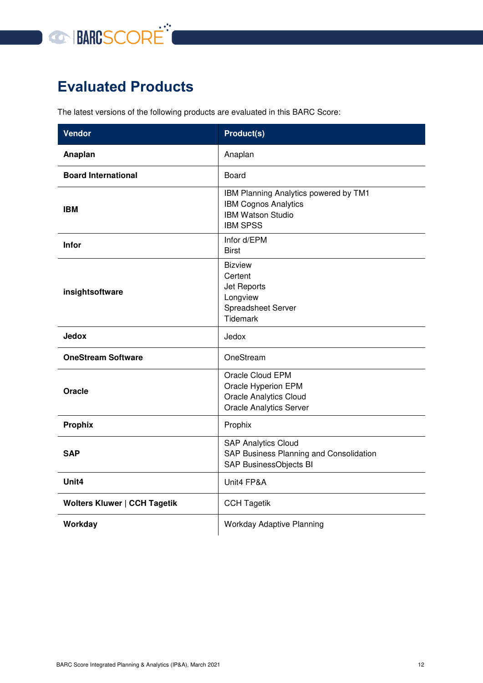

# <span id="page-11-0"></span>**Evaluated Products**

The latest versions of the following products are evaluated in this BARC Score:

| <b>Vendor</b>                       | <b>Product(s)</b>                                                                                                   |  |  |  |
|-------------------------------------|---------------------------------------------------------------------------------------------------------------------|--|--|--|
| Anaplan                             | Anaplan                                                                                                             |  |  |  |
| <b>Board International</b>          | Board                                                                                                               |  |  |  |
| <b>IBM</b>                          | IBM Planning Analytics powered by TM1<br><b>IBM Cognos Analytics</b><br><b>IBM Watson Studio</b><br><b>IBM SPSS</b> |  |  |  |
| <b>Infor</b>                        | Infor d/EPM<br><b>Birst</b>                                                                                         |  |  |  |
| insightsoftware                     | <b>Bizview</b><br>Certent<br>Jet Reports<br>Longview<br>Spreadsheet Server<br><b>Tidemark</b>                       |  |  |  |
| <b>Jedox</b>                        | Jedox                                                                                                               |  |  |  |
| <b>OneStream Software</b>           | OneStream                                                                                                           |  |  |  |
| Oracle                              | Oracle Cloud EPM<br>Oracle Hyperion EPM<br><b>Oracle Analytics Cloud</b><br><b>Oracle Analytics Server</b>          |  |  |  |
| <b>Prophix</b>                      | Prophix                                                                                                             |  |  |  |
| <b>SAP</b>                          | <b>SAP Analytics Cloud</b><br>SAP Business Planning and Consolidation<br>SAP BusinessObjects BI                     |  |  |  |
| Unit <sub>4</sub>                   | Unit4 FP&A                                                                                                          |  |  |  |
| <b>Wolters Kluwer   CCH Tagetik</b> | <b>CCH Tagetik</b>                                                                                                  |  |  |  |
| Workday                             | <b>Workday Adaptive Planning</b>                                                                                    |  |  |  |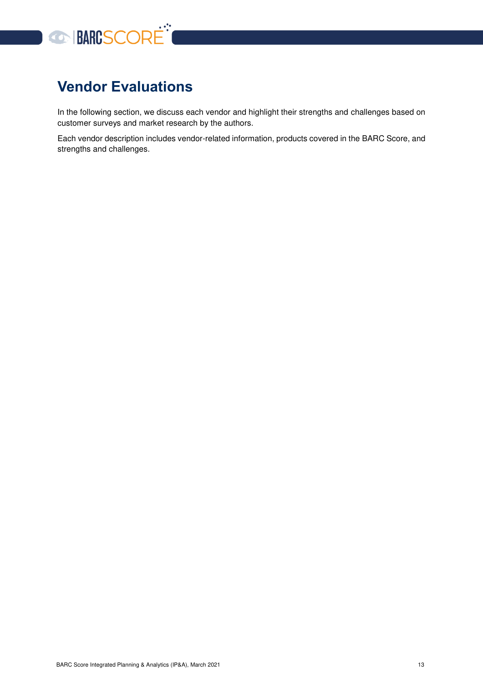

# <span id="page-12-0"></span>**Vendor Evaluations**

In the following section, we discuss each vendor and highlight their strengths and challenges based on customer surveys and market research by the authors.

Each vendor description includes vendor-related information, products covered in the BARC Score, and strengths and challenges.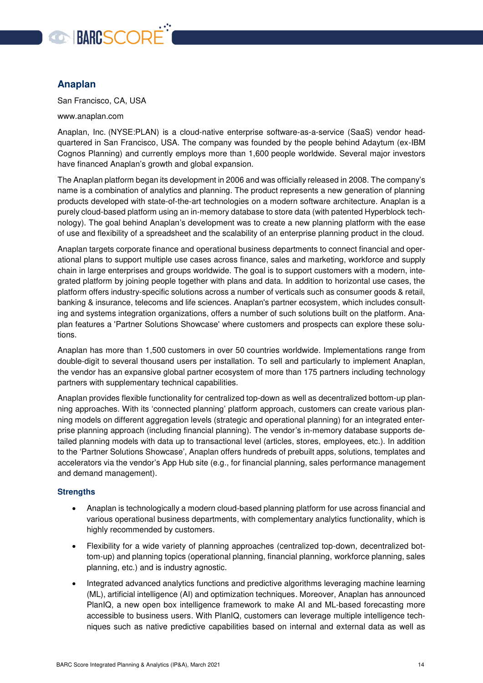

#### <span id="page-13-0"></span>**Anaplan**

San Francisco, CA, USA

www.anaplan.com

[Anaplan, Inc.](https://www.anaplan.com/?_ga=2.42810213.1536316850.1613495388-538460473.1597777144) (NYSE:PLAN) is a cloud-native enterprise software-as-a-service (SaaS) vendor headquartered in San Francisco, USA. The company was founded by the people behind Adaytum (ex-IBM Cognos Planning) and currently employs more than 1,600 people worldwide. Several major investors have financed Anaplan's growth and global expansion.

The Anaplan platform began its development in 2006 and was officially released in 2008. The company's name is a combination of analytics and planning. The product represents a new generation of planning products developed with state-of-the-art technologies on a modern software architecture. Anaplan is a purely cloud-based platform using an in-memory database to store data (with patented Hyperblock technology). The goal behind Anaplan's development was to create a new planning platform with the ease of use and flexibility of a spreadsheet and the scalability of an enterprise planning product in the cloud.

Anaplan targets corporate finance and operational business departments to connect financial and operational plans to support multiple use cases across finance, sales and marketing, workforce and supply chain in large enterprises and groups worldwide. The goal is to support customers with a modern, integrated platform by joining people together with plans and data. In addition to horizontal use cases, the platform offers industry-specific solutions across a number of verticals such as consumer goods & retail, banking & insurance, telecoms and life sciences. Anaplan's partner ecosystem, which includes consulting and systems integration organizations, offers a number of such solutions built on the platform. Anaplan features a 'Partner Solutions Showcase' where customers and prospects can explore these solutions.

Anaplan has more than 1,500 customers in over 50 countries worldwide. Implementations range from double-digit to several thousand users per installation. To sell and particularly to implement Anaplan, the vendor has an expansive global partner ecosystem of more than 175 partners including technology partners with supplementary technical capabilities.

Anaplan provides flexible functionality for centralized top-down as well as decentralized bottom-up planning approaches. With its 'connected planning' platform approach, customers can create various planning models on different aggregation levels (strategic and operational planning) for an integrated enterprise planning approach (including financial planning). The vendor's in-memory database supports detailed planning models with data up to transactional level (articles, stores, employees, etc.). In addition to the 'Partner Solutions Showcase', Anaplan offers hundreds of prebuilt apps, solutions, templates and accelerators via the vendor's App Hub site (e.g., for financial planning, sales performance management and demand management).

- Anaplan is technologically a modern cloud-based planning platform for use across financial and various operational business departments, with complementary analytics functionality, which is highly recommended by customers.
- Flexibility for a wide variety of planning approaches (centralized top-down, decentralized bottom-up) and planning topics (operational planning, financial planning, workforce planning, sales planning, etc.) and is industry agnostic.
- Integrated advanced analytics functions and predictive algorithms leveraging machine learning (ML), artificial intelligence (AI) and optimization techniques. Moreover, Anaplan has announced PlanIQ, a new open box intelligence framework to make AI and ML-based forecasting more accessible to business users. With PlanIQ, customers can leverage multiple intelligence techniques such as native predictive capabilities based on internal and external data as well as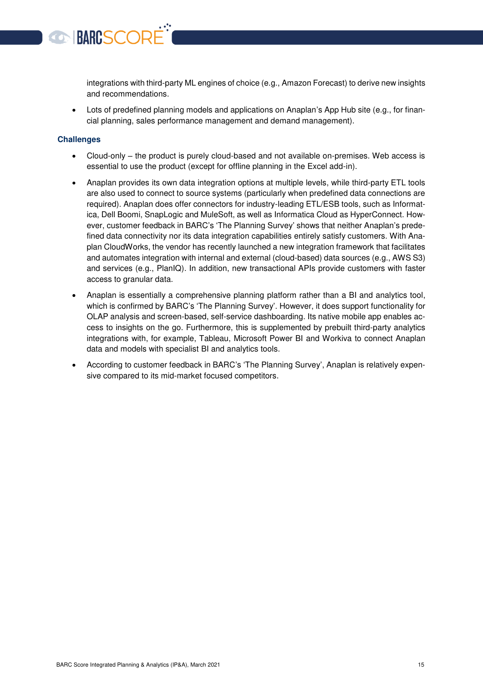integrations with third-party ML engines of choice (e.g., Amazon Forecast) to derive new insights and recommendations.

 Lots of predefined planning models and applications on Anaplan's App Hub site (e.g., for financial planning, sales performance management and demand management).

#### **Challenges**

BARCSCORI

- Cloud-only the product is purely cloud-based and not available on-premises. Web access is essential to use the product (except for offline planning in the Excel add-in).
- Anaplan provides its own data integration options at multiple levels, while third-party ETL tools are also used to connect to source systems (particularly when predefined data connections are required). Anaplan does offer connectors for industry-leading ETL/ESB tools, such as Informatica, Dell Boomi, SnapLogic and MuleSoft, as well as Informatica Cloud as HyperConnect. However, customer feedback in BARC's 'The Planning Survey' shows that neither Anaplan's predefined data connectivity nor its data integration capabilities entirely satisfy customers. With Anaplan CloudWorks, the vendor has recently launched a new integration framework that facilitates and automates integration with internal and external (cloud-based) data sources (e.g., AWS S3) and services (e.g., PlanIQ). In addition, new transactional APIs provide customers with faster access to granular data.
- Anaplan is essentially a comprehensive planning platform rather than a BI and analytics tool, which is confirmed by BARC's 'The Planning Survey'. However, it does support functionality for OLAP analysis and screen-based, self-service dashboarding. Its native mobile app enables access to insights on the go. Furthermore, this is supplemented by prebuilt third-party analytics integrations with, for example, Tableau, Microsoft Power BI and Workiva to connect Anaplan data and models with specialist BI and analytics tools.
- According to customer feedback in BARC's 'The Planning Survey', Anaplan is relatively expensive compared to its mid-market focused competitors.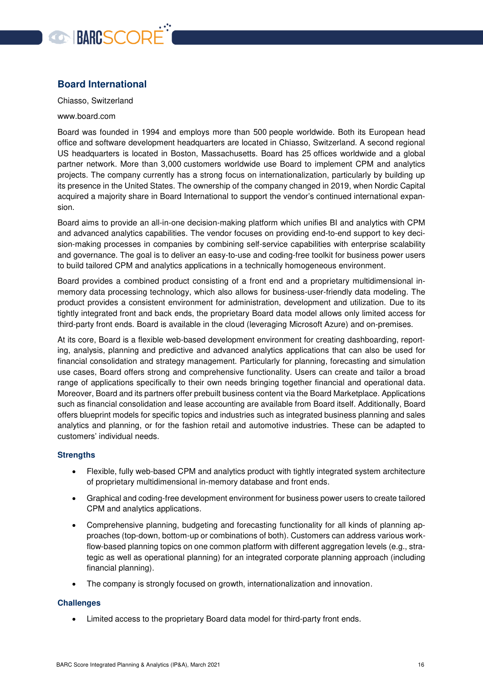

#### <span id="page-15-0"></span>**Board International**

Chiasso, Switzerland

#### www.board.com

Board was founded in 1994 and employs more than 500 people worldwide. Both its European head office and software development headquarters are located in Chiasso, Switzerland. A second regional US headquarters is located in Boston, Massachusetts. Board has 25 offices worldwide and a global partner network. More than 3,000 customers worldwide use Board to implement CPM and analytics projects. The company currently has a strong focus on internationalization, particularly by building up its presence in the United States. The ownership of the company changed in 2019, when Nordic Capital acquired a majority share in Board International to support the vendor's continued international expansion.

Board aims to provide an all-in-one decision-making platform which unifies BI and analytics with CPM and advanced analytics capabilities. The vendor focuses on providing end-to-end support to key decision-making processes in companies by combining self-service capabilities with enterprise scalability and governance. The goal is to deliver an easy-to-use and coding-free toolkit for business power users to build tailored CPM and analytics applications in a technically homogeneous environment.

Board provides a combined product consisting of a front end and a proprietary multidimensional inmemory data processing technology, which also allows for business-user-friendly data modeling. The product provides a consistent environment for administration, development and utilization. Due to its tightly integrated front and back ends, the proprietary Board data model allows only limited access for third-party front ends. Board is available in the cloud (leveraging Microsoft Azure) and on-premises.

At its core, Board is a flexible web-based development environment for creating dashboarding, reporting, analysis, planning and predictive and advanced analytics applications that can also be used for financial consolidation and strategy management. Particularly for planning, forecasting and simulation use cases, Board offers strong and comprehensive functionality. Users can create and tailor a broad range of applications specifically to their own needs bringing together financial and operational data. Moreover, Board and its partners offer prebuilt business content via the Board Marketplace. Applications such as financial consolidation and lease accounting are available from Board itself. Additionally, Board offers blueprint models for specific topics and industries such as integrated business planning and sales analytics and planning, or for the fashion retail and automotive industries. These can be adapted to customers' individual needs.

#### **Strengths**

- Flexible, fully web-based CPM and analytics product with tightly integrated system architecture of proprietary multidimensional in-memory database and front ends.
- Graphical and coding-free development environment for business power users to create tailored CPM and analytics applications.
- Comprehensive planning, budgeting and forecasting functionality for all kinds of planning approaches (top-down, bottom-up or combinations of both). Customers can address various workflow-based planning topics on one common platform with different aggregation levels (e.g., strategic as well as operational planning) for an integrated corporate planning approach (including financial planning).
- The company is strongly focused on growth, internationalization and innovation.

#### **Challenges**

Limited access to the proprietary Board data model for third-party front ends.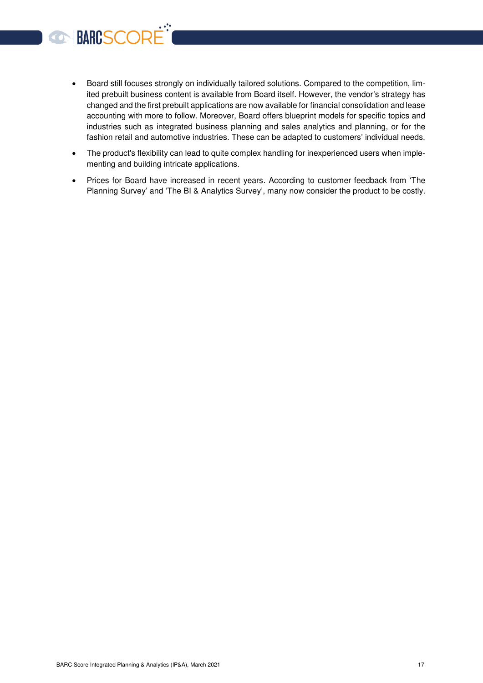- Board still focuses strongly on individually tailored solutions. Compared to the competition, limited prebuilt business content is available from Board itself. However, the vendor's strategy has changed and the first prebuilt applications are now available for financial consolidation and lease accounting with more to follow. Moreover, Board offers blueprint models for specific topics and industries such as integrated business planning and sales analytics and planning, or for the fashion retail and automotive industries. These can be adapted to customers' individual needs.
- The product's flexibility can lead to quite complex handling for inexperienced users when implementing and building intricate applications.
- Prices for Board have increased in recent years. According to customer feedback from 'The Planning Survey' and 'The BI & Analytics Survey', many now consider the product to be costly.

**CONNECTED**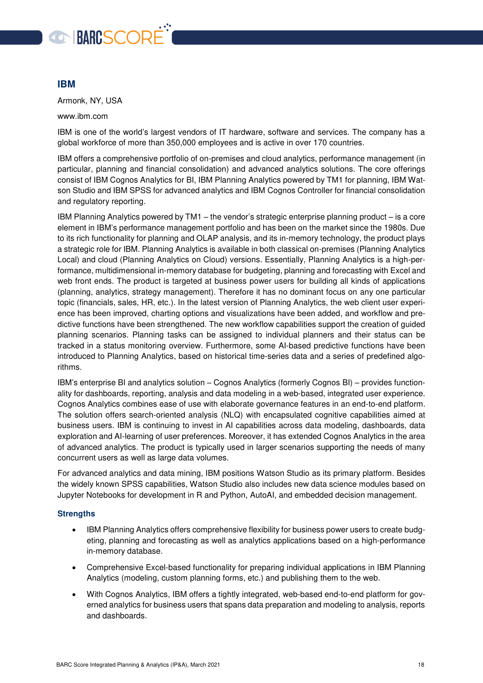

#### <span id="page-17-0"></span>**IBM**

Armonk, NY, USA

www.ibm.com

IBM is one of the world's largest vendors of IT hardware, software and services. The company has a global workforce of more than 350,000 employees and is active in over 170 countries.

IBM offers a comprehensive portfolio of on-premises and cloud analytics, performance management (in particular, planning and financial consolidation) and advanced analytics solutions. The core offerings consist of IBM Cognos Analytics for BI, IBM Planning Analytics powered by TM1 for planning, IBM Watson Studio and IBM SPSS for advanced analytics and IBM Cognos Controller for financial consolidation and regulatory reporting.

IBM Planning Analytics powered by TM1 – the vendor's strategic enterprise planning product – is a core element in IBM's performance management portfolio and has been on the market since the 1980s. Due to its rich functionality for planning and OLAP analysis, and its in-memory technology, the product plays a strategic role for IBM. Planning Analytics is available in both classical on-premises (Planning Analytics Local) and cloud (Planning Analytics on Cloud) versions. Essentially, Planning Analytics is a high-performance, multidimensional in-memory database for budgeting, planning and forecasting with Excel and web front ends. The product is targeted at business power users for building all kinds of applications (planning, analytics, strategy management). Therefore it has no dominant focus on any one particular topic (financials, sales, HR, etc.). In the latest version of Planning Analytics, the web client user experience has been improved, charting options and visualizations have been added, and workflow and predictive functions have been strengthened. The new workflow capabilities support the creation of guided planning scenarios. Planning tasks can be assigned to individual planners and their status can be tracked in a status monitoring overview. Furthermore, some AI-based predictive functions have been introduced to Planning Analytics, based on historical time-series data and a series of predefined algorithms.

IBM's enterprise BI and analytics solution – Cognos Analytics (formerly Cognos BI) – provides functionality for dashboards, reporting, analysis and data modeling in a web-based, integrated user experience. Cognos Analytics combines ease of use with elaborate governance features in an end-to-end platform. The solution offers search-oriented analysis (NLQ) with encapsulated cognitive capabilities aimed at business users. IBM is continuing to invest in AI capabilities across data modeling, dashboards, data exploration and AI-learning of user preferences. Moreover, it has extended Cognos Analytics in the area of advanced analytics. The product is typically used in larger scenarios supporting the needs of many concurrent users as well as large data volumes.

For advanced analytics and data mining, IBM positions Watson Studio as its primary platform. Besides the widely known SPSS capabilities, Watson Studio also includes new data science modules based on Jupyter Notebooks for development in R and Python, AutoAI, and embedded decision management.

- IBM Planning Analytics offers comprehensive flexibility for business power users to create budgeting, planning and forecasting as well as analytics applications based on a high-performance in-memory database.
- Comprehensive Excel-based functionality for preparing individual applications in IBM Planning Analytics (modeling, custom planning forms, etc.) and publishing them to the web.
- With Cognos Analytics, IBM offers a tightly integrated, web-based end-to-end platform for governed analytics for business users that spans data preparation and modeling to analysis, reports and dashboards.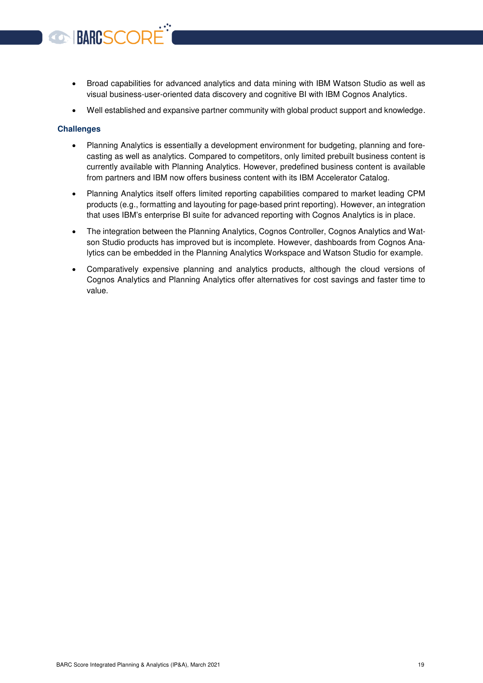- Broad capabilities for advanced analytics and data mining with IBM Watson Studio as well as visual business-user-oriented data discovery and cognitive BI with IBM Cognos Analytics.
- Well established and expansive partner community with global product support and knowledge.

#### **Challenges**

**BARCSCOR** 

- Planning Analytics is essentially a development environment for budgeting, planning and forecasting as well as analytics. Compared to competitors, only limited prebuilt business content is currently available with Planning Analytics. However, predefined business content is available from partners and IBM now offers business content with its IBM Accelerator Catalog.
- Planning Analytics itself offers limited reporting capabilities compared to market leading CPM products (e.g., formatting and layouting for page-based print reporting). However, an integration that uses IBM's enterprise BI suite for advanced reporting with Cognos Analytics is in place.
- The integration between the Planning Analytics, Cognos Controller, Cognos Analytics and Watson Studio products has improved but is incomplete. However, dashboards from Cognos Analytics can be embedded in the Planning Analytics Workspace and Watson Studio for example.
- Comparatively expensive planning and analytics products, although the cloud versions of Cognos Analytics and Planning Analytics offer alternatives for cost savings and faster time to value.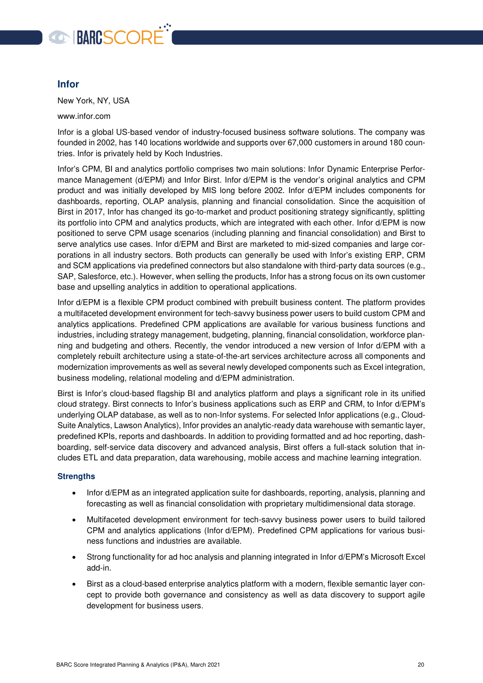

#### <span id="page-19-0"></span>**Infor**

New York, NY, USA

www.infor.com

Infor is a global US-based vendor of industry-focused business software solutions. The company was founded in 2002, has 140 locations worldwide and supports over 67,000 customers in around 180 countries. Infor is privately held by Koch Industries.

Infor's CPM, BI and analytics portfolio comprises two main solutions: Infor Dynamic Enterprise Performance Management (d/EPM) and Infor Birst. Infor d/EPM is the vendor's original analytics and CPM product and was initially developed by MIS long before 2002. Infor d/EPM includes components for dashboards, reporting, OLAP analysis, planning and financial consolidation. Since the acquisition of Birst in 2017, Infor has changed its go-to-market and product positioning strategy significantly, splitting its portfolio into CPM and analytics products, which are integrated with each other. Infor d/EPM is now positioned to serve CPM usage scenarios (including planning and financial consolidation) and Birst to serve analytics use cases. Infor d/EPM and Birst are marketed to mid-sized companies and large corporations in all industry sectors. Both products can generally be used with Infor's existing ERP, CRM and SCM applications via predefined connectors but also standalone with third-party data sources (e.g., SAP, Salesforce, etc.). However, when selling the products, Infor has a strong focus on its own customer base and upselling analytics in addition to operational applications.

Infor d/EPM is a flexible CPM product combined with prebuilt business content. The platform provides a multifaceted development environment for tech-savvy business power users to build custom CPM and analytics applications. Predefined CPM applications are available for various business functions and industries, including strategy management, budgeting, planning, financial consolidation, workforce planning and budgeting and others. Recently, the vendor introduced a new version of Infor d/EPM with a completely rebuilt architecture using a state-of-the-art services architecture across all components and modernization improvements as well as several newly developed components such as Excel integration, business modeling, relational modeling and d/EPM administration.

Birst is Infor's cloud-based flagship BI and analytics platform and plays a significant role in its unified cloud strategy. Birst connects to Infor's business applications such as ERP and CRM, to Infor d/EPM's underlying OLAP database, as well as to non-Infor systems. For selected Infor applications (e.g., Cloud-Suite Analytics, Lawson Analytics), Infor provides an analytic-ready data warehouse with semantic layer, predefined KPIs, reports and dashboards. In addition to providing formatted and ad hoc reporting, dashboarding, self-service data discovery and advanced analysis, Birst offers a full-stack solution that includes ETL and data preparation, data warehousing, mobile access and machine learning integration.

- Infor d/EPM as an integrated application suite for dashboards, reporting, analysis, planning and forecasting as well as financial consolidation with proprietary multidimensional data storage.
- Multifaceted development environment for tech-savvy business power users to build tailored CPM and analytics applications (Infor d/EPM). Predefined CPM applications for various business functions and industries are available.
- Strong functionality for ad hoc analysis and planning integrated in Infor d/EPM's Microsoft Excel add-in.
- Birst as a cloud-based enterprise analytics platform with a modern, flexible semantic layer concept to provide both governance and consistency as well as data discovery to support agile development for business users.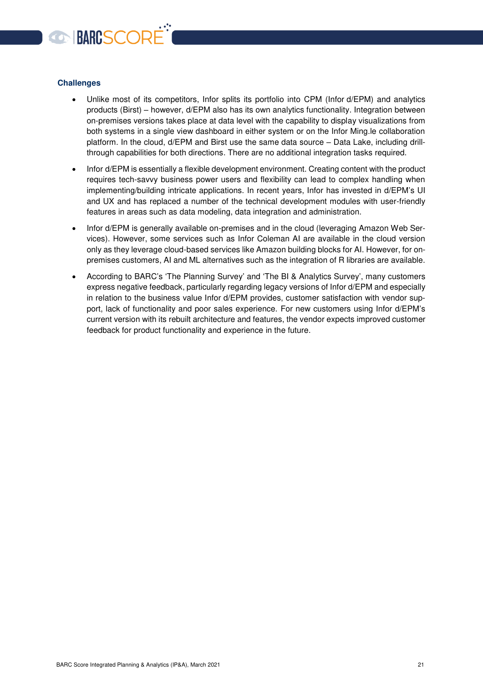

#### **Challenges**

- Unlike most of its competitors, Infor splits its portfolio into CPM (Infor d/EPM) and analytics products (Birst) – however, d/EPM also has its own analytics functionality. Integration between on-premises versions takes place at data level with the capability to display visualizations from both systems in a single view dashboard in either system or on the Infor Ming.le collaboration platform. In the cloud, d/EPM and Birst use the same data source – Data Lake, including drillthrough capabilities for both directions. There are no additional integration tasks required.
- Infor d/EPM is essentially a flexible development environment. Creating content with the product requires tech-savvy business power users and flexibility can lead to complex handling when implementing/building intricate applications. In recent years, Infor has invested in d/EPM's UI and UX and has replaced a number of the technical development modules with user-friendly features in areas such as data modeling, data integration and administration.
- Infor d/EPM is generally available on-premises and in the cloud (leveraging Amazon Web Services). However, some services such as Infor Coleman AI are available in the cloud version only as they leverage cloud-based services like Amazon building blocks for AI. However, for onpremises customers, AI and ML alternatives such as the integration of R libraries are available.
- According to BARC's 'The Planning Survey' and 'The BI & Analytics Survey', many customers express negative feedback, particularly regarding legacy versions of Infor d/EPM and especially in relation to the business value Infor d/EPM provides, customer satisfaction with vendor support, lack of functionality and poor sales experience. For new customers using Infor d/EPM's current version with its rebuilt architecture and features, the vendor expects improved customer feedback for product functionality and experience in the future.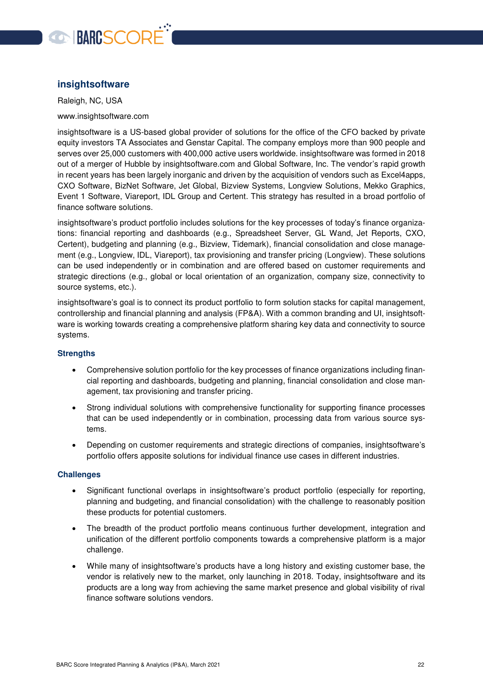

#### <span id="page-21-0"></span>**insightsoftware**

Raleigh, NC, USA

www.insightsoftware.com

insightsoftware is a US-based global provider of solutions for the office of the CFO backed by private equity investors TA Associates and Genstar Capital. The company employs more than 900 people and serves over 25,000 customers with 400,000 active users worldwide. insightsoftware was formed in 2018 out of a merger of Hubble by insightsoftware.com and Global Software, Inc. The vendor's rapid growth in recent years has been largely inorganic and driven by the acquisition of vendors such as Excel4apps, CXO Software, BizNet Software, Jet Global, Bizview Systems, Longview Solutions, Mekko Graphics, Event 1 Software, Viareport, IDL Group and Certent. This strategy has resulted in a broad portfolio of finance software solutions.

insightsoftware's product portfolio includes solutions for the key processes of today's finance organizations: financial reporting and dashboards (e.g., Spreadsheet Server, GL Wand, Jet Reports, CXO, Certent), budgeting and planning (e.g., Bizview, Tidemark), financial consolidation and close management (e.g., Longview, IDL, Viareport), tax provisioning and transfer pricing (Longview). These solutions can be used independently or in combination and are offered based on customer requirements and strategic directions (e.g., global or local orientation of an organization, company size, connectivity to source systems, etc.).

insightsoftware's goal is to connect its product portfolio to form solution stacks for capital management, controllership and financial planning and analysis (FP&A). With a common branding and UI, insightsoftware is working towards creating a comprehensive platform sharing key data and connectivity to source systems.

#### **Strengths**

- Comprehensive solution portfolio for the key processes of finance organizations including financial reporting and dashboards, budgeting and planning, financial consolidation and close management, tax provisioning and transfer pricing.
- Strong individual solutions with comprehensive functionality for supporting finance processes that can be used independently or in combination, processing data from various source systems.
- Depending on customer requirements and strategic directions of companies, insightsoftware's portfolio offers apposite solutions for individual finance use cases in different industries.

#### **Challenges**

- Significant functional overlaps in insightsoftware's product portfolio (especially for reporting, planning and budgeting, and financial consolidation) with the challenge to reasonably position these products for potential customers.
- The breadth of the product portfolio means continuous further development, integration and unification of the different portfolio components towards a comprehensive platform is a major challenge.
- While many of insightsoftware's products have a long history and existing customer base, the vendor is relatively new to the market, only launching in 2018. Today, insightsoftware and its products are a long way from achieving the same market presence and global visibility of rival finance software solutions vendors.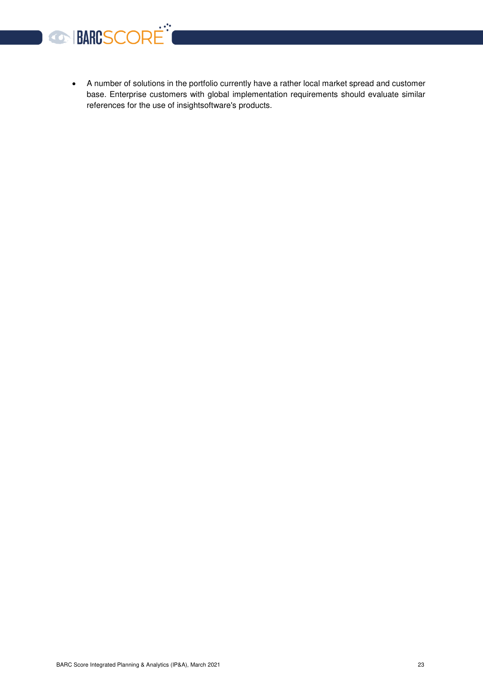

 A number of solutions in the portfolio currently have a rather local market spread and customer base. Enterprise customers with global implementation requirements should evaluate similar references for the use of insightsoftware's products.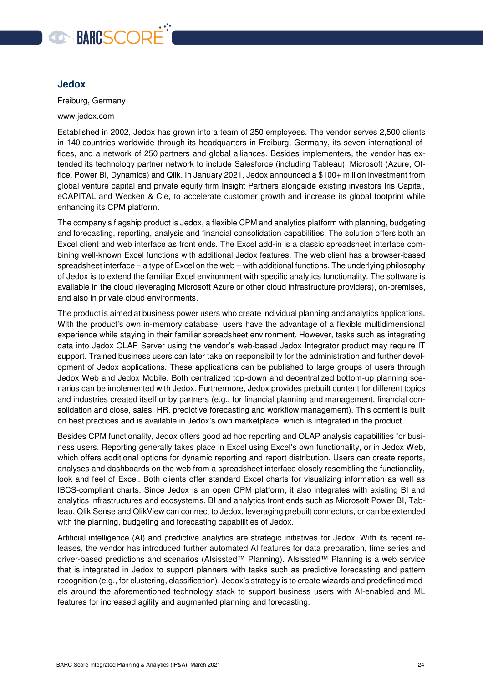

#### <span id="page-23-0"></span>**Jedox**

Freiburg, Germany

www.jedox.com

Established in 2002, Jedox has grown into a team of 250 employees. The vendor serves 2,500 clients in 140 countries worldwide through its headquarters in Freiburg, Germany, its seven international offices, and a network of 250 partners and global alliances. Besides implementers, the vendor has extended its technology partner network to include Salesforce (including Tableau), Microsoft (Azure, Office, Power BI, Dynamics) and Qlik. In January 2021, Jedox announced a \$100+ million investment from global venture capital and private equity firm Insight Partners alongside existing investors Iris Capital, eCAPITAL and Wecken & Cie, to accelerate customer growth and increase its global footprint while enhancing its CPM platform.

The company's flagship product is Jedox, a flexible CPM and analytics platform with planning, budgeting and forecasting, reporting, analysis and financial consolidation capabilities. The solution offers both an Excel client and web interface as front ends. The Excel add-in is a classic spreadsheet interface combining well-known Excel functions with additional Jedox features. The web client has a browser-based spreadsheet interface – a type of Excel on the web – with additional functions. The underlying philosophy of Jedox is to extend the familiar Excel environment with specific analytics functionality. The software is available in the cloud (leveraging Microsoft Azure or other cloud infrastructure providers), on-premises, and also in private cloud environments.

The product is aimed at business power users who create individual planning and analytics applications. With the product's own in-memory database, users have the advantage of a flexible multidimensional experience while staying in their familiar spreadsheet environment. However, tasks such as integrating data into Jedox OLAP Server using the vendor's web-based Jedox Integrator product may require IT support. Trained business users can later take on responsibility for the administration and further development of Jedox applications. These applications can be published to large groups of users through Jedox Web and Jedox Mobile. Both centralized top-down and decentralized bottom-up planning scenarios can be implemented with Jedox. Furthermore, Jedox provides prebuilt content for different topics and industries created itself or by partners (e.g., for financial planning and management, financial consolidation and close, sales, HR, predictive forecasting and workflow management). This content is built on best practices and is available in Jedox's own marketplace, which is integrated in the product.

Besides CPM functionality, Jedox offers good ad hoc reporting and OLAP analysis capabilities for business users. Reporting generally takes place in Excel using Excel's own functionality, or in Jedox Web, which offers additional options for dynamic reporting and report distribution. Users can create reports, analyses and dashboards on the web from a spreadsheet interface closely resembling the functionality, look and feel of Excel. Both clients offer standard Excel charts for visualizing information as well as IBCS-compliant charts. Since Jedox is an open CPM platform, it also integrates with existing BI and analytics infrastructures and ecosystems. BI and analytics front ends such as Microsoft Power BI, Tableau, Qlik Sense and QlikView can connect to Jedox, leveraging prebuilt connectors, or can be extended with the planning, budgeting and forecasting capabilities of Jedox.

Artificial intelligence (AI) and predictive analytics are strategic initiatives for Jedox. With its recent releases, the vendor has introduced further automated AI features for data preparation, time series and driver-based predictions and scenarios (AIsissted™ Planning). AIsissted™ Planning is a web service that is integrated in Jedox to support planners with tasks such as predictive forecasting and pattern recognition (e.g., for clustering, classification). Jedox's strategy is to create wizards and predefined models around the aforementioned technology stack to support business users with AI-enabled and ML features for increased agility and augmented planning and forecasting.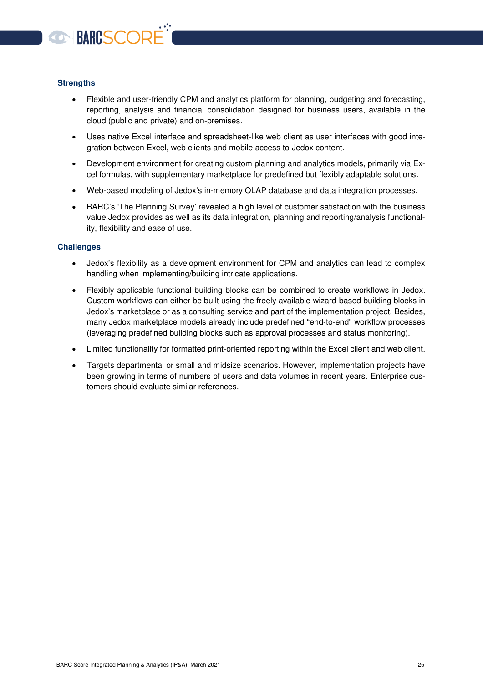

#### **Strengths**

- Flexible and user-friendly CPM and analytics platform for planning, budgeting and forecasting, reporting, analysis and financial consolidation designed for business users, available in the cloud (public and private) and on-premises.
- Uses native Excel interface and spreadsheet-like web client as user interfaces with good integration between Excel, web clients and mobile access to Jedox content.
- Development environment for creating custom planning and analytics models, primarily via Excel formulas, with supplementary marketplace for predefined but flexibly adaptable solutions.
- Web-based modeling of Jedox's in-memory OLAP database and data integration processes.
- BARC's 'The Planning Survey' revealed a high level of customer satisfaction with the business value Jedox provides as well as its data integration, planning and reporting/analysis functionality, flexibility and ease of use.

#### **Challenges**

- Jedox's flexibility as a development environment for CPM and analytics can lead to complex handling when implementing/building intricate applications.
- Flexibly applicable functional building blocks can be combined to create workflows in Jedox. Custom workflows can either be built using the freely available wizard-based building blocks in Jedox's marketplace or as a consulting service and part of the implementation project. Besides, many Jedox marketplace models already include predefined "end-to-end" workflow processes (leveraging predefined building blocks such as approval processes and status monitoring).
- Limited functionality for formatted print-oriented reporting within the Excel client and web client.
- Targets departmental or small and midsize scenarios. However, implementation projects have been growing in terms of numbers of users and data volumes in recent years. Enterprise customers should evaluate similar references.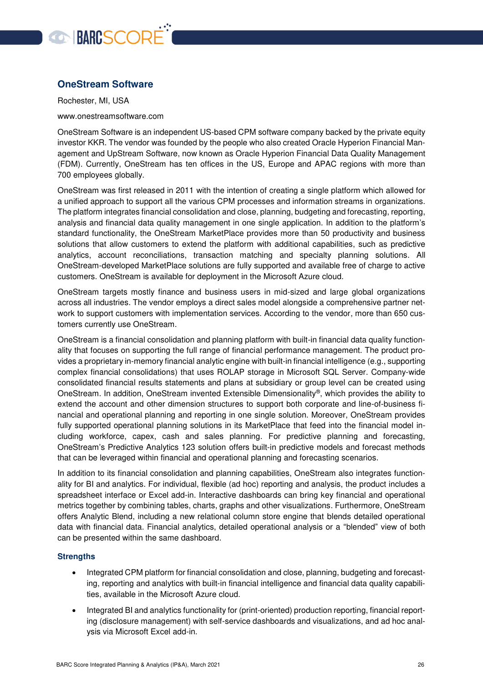

#### <span id="page-25-0"></span>**OneStream Software**

Rochester, MI, USA

www.onestreamsoftware.com

OneStream Software is an independent US-based CPM software company backed by the private equity investor KKR. The vendor was founded by the people who also created Oracle Hyperion Financial Management and UpStream Software, now known as Oracle Hyperion Financial Data Quality Management (FDM). Currently, OneStream has ten offices in the US, Europe and APAC regions with more than 700 employees globally.

OneStream was first released in 2011 with the intention of creating a single platform which allowed for a unified approach to support all the various CPM processes and information streams in organizations. The platform integrates financial consolidation and close, planning, budgeting and forecasting, reporting, analysis and financial data quality management in one single application. In addition to the platform's standard functionality, the OneStream MarketPlace provides more than 50 productivity and business solutions that allow customers to extend the platform with additional capabilities, such as predictive analytics, account reconciliations, transaction matching and specialty planning solutions. All OneStream-developed MarketPlace solutions are fully supported and available free of charge to active customers. OneStream is available for deployment in the Microsoft Azure cloud.

OneStream targets mostly finance and business users in mid-sized and large global organizations across all industries. The vendor employs a direct sales model alongside a comprehensive partner network to support customers with implementation services. According to the vendor, more than 650 customers currently use OneStream.

OneStream is a financial consolidation and planning platform with built-in financial data quality functionality that focuses on supporting the full range of financial performance management. The product provides a proprietary in-memory financial analytic engine with built-in financial intelligence (e.g., supporting complex financial consolidations) that uses ROLAP storage in Microsoft SQL Server. Company-wide consolidated financial results statements and plans at subsidiary or group level can be created using OneStream. In addition, OneStream invented Extensible Dimensionality®, which provides the ability to extend the account and other dimension structures to support both corporate and line-of-business financial and operational planning and reporting in one single solution. Moreover, OneStream provides fully supported operational planning solutions in its MarketPlace that feed into the financial model including workforce, capex, cash and sales planning. For predictive planning and forecasting, OneStream's Predictive Analytics 123 solution offers built-in predictive models and forecast methods that can be leveraged within financial and operational planning and forecasting scenarios.

In addition to its financial consolidation and planning capabilities, OneStream also integrates functionality for BI and analytics. For individual, flexible (ad hoc) reporting and analysis, the product includes a spreadsheet interface or Excel add-in. Interactive dashboards can bring key financial and operational metrics together by combining tables, charts, graphs and other visualizations. Furthermore, OneStream offers Analytic Blend, including a new relational column store engine that blends detailed operational data with financial data. Financial analytics, detailed operational analysis or a "blended" view of both can be presented within the same dashboard.

- Integrated CPM platform for financial consolidation and close, planning, budgeting and forecasting, reporting and analytics with built-in financial intelligence and financial data quality capabilities, available in the Microsoft Azure cloud.
- Integrated BI and analytics functionality for (print-oriented) production reporting, financial reporting (disclosure management) with self-service dashboards and visualizations, and ad hoc analysis via Microsoft Excel add-in.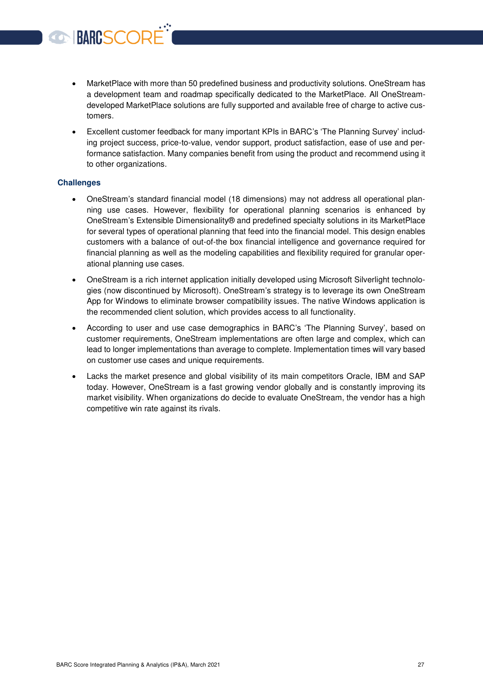- MarketPlace with more than 50 predefined business and productivity solutions. OneStream has a development team and roadmap specifically dedicated to the MarketPlace. All OneStreamdeveloped MarketPlace solutions are fully supported and available free of charge to active customers.
- Excellent customer feedback for many important KPIs in BARC's 'The Planning Survey' including project success, price-to-value, vendor support, product satisfaction, ease of use and performance satisfaction. Many companies benefit from using the product and recommend using it to other organizations.

#### **Challenges**

BARCSCORI

- OneStream's standard financial model (18 dimensions) may not address all operational planning use cases. However, flexibility for operational planning scenarios is enhanced by OneStream's Extensible Dimensionality® and predefined specialty solutions in its MarketPlace for several types of operational planning that feed into the financial model. This design enables customers with a balance of out-of-the box financial intelligence and governance required for financial planning as well as the modeling capabilities and flexibility required for granular operational planning use cases.
- OneStream is a rich internet application initially developed using Microsoft Silverlight technologies (now discontinued by Microsoft). OneStream's strategy is to leverage its own OneStream App for Windows to eliminate browser compatibility issues. The native Windows application is the recommended client solution, which provides access to all functionality.
- According to user and use case demographics in BARC's 'The Planning Survey', based on customer requirements, OneStream implementations are often large and complex, which can lead to longer implementations than average to complete. Implementation times will vary based on customer use cases and unique requirements.
- Lacks the market presence and global visibility of its main competitors Oracle, IBM and SAP today. However, OneStream is a fast growing vendor globally and is constantly improving its market visibility. When organizations do decide to evaluate OneStream, the vendor has a high competitive win rate against its rivals.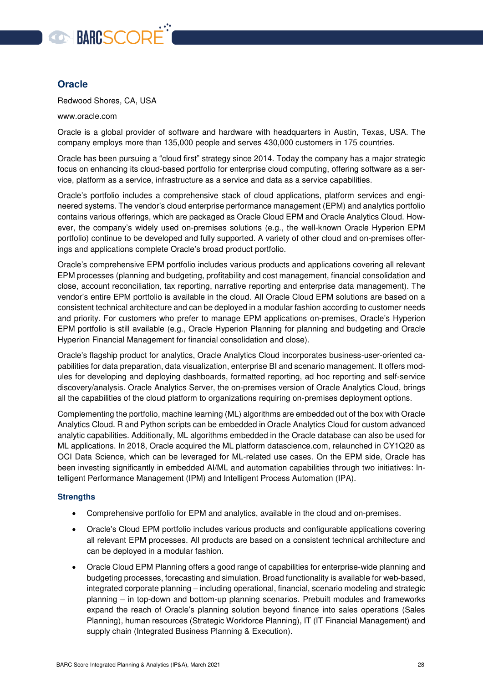

#### <span id="page-27-0"></span>**Oracle**

Redwood Shores, CA, USA

www.oracle.com

Oracle is a global provider of software and hardware with headquarters in Austin, Texas, USA. The company employs more than 135,000 people and serves 430,000 customers in 175 countries.

Oracle has been pursuing a "cloud first" strategy since 2014. Today the company has a major strategic focus on enhancing its cloud-based portfolio for enterprise cloud computing, offering software as a service, platform as a service, infrastructure as a service and data as a service capabilities.

Oracle's portfolio includes a comprehensive stack of cloud applications, platform services and engineered systems. The vendor's cloud enterprise performance management (EPM) and analytics portfolio contains various offerings, which are packaged as Oracle Cloud EPM and Oracle Analytics Cloud. However, the company's widely used on-premises solutions (e.g., the well-known Oracle Hyperion EPM portfolio) continue to be developed and fully supported. A variety of other cloud and on-premises offerings and applications complete Oracle's broad product portfolio.

Oracle's comprehensive EPM portfolio includes various products and applications covering all relevant EPM processes (planning and budgeting, profitability and cost management, financial consolidation and close, account reconciliation, tax reporting, narrative reporting and enterprise data management). The vendor's entire EPM portfolio is available in the cloud. All Oracle Cloud EPM solutions are based on a consistent technical architecture and can be deployed in a modular fashion according to customer needs and priority. For customers who prefer to manage EPM applications on-premises, Oracle's Hyperion EPM portfolio is still available (e.g., Oracle Hyperion Planning for planning and budgeting and Oracle Hyperion Financial Management for financial consolidation and close).

Oracle's flagship product for analytics, Oracle Analytics Cloud incorporates business-user-oriented capabilities for data preparation, data visualization, enterprise BI and scenario management. It offers modules for developing and deploying dashboards, formatted reporting, ad hoc reporting and self-service discovery/analysis. Oracle Analytics Server, the on-premises version of Oracle Analytics Cloud, brings all the capabilities of the cloud platform to organizations requiring on-premises deployment options.

Complementing the portfolio, machine learning (ML) algorithms are embedded out of the box with Oracle Analytics Cloud. R and Python scripts can be embedded in Oracle Analytics Cloud for custom advanced analytic capabilities. Additionally, ML algorithms embedded in the Oracle database can also be used for ML applications. In 2018, Oracle acquired the ML platform datascience.com, relaunched in CY1Q20 as OCI Data Science, which can be leveraged for ML-related use cases. On the EPM side, Oracle has been investing significantly in embedded AI/ML and automation capabilities through two initiatives: Intelligent Performance Management (IPM) and Intelligent Process Automation (IPA).

- Comprehensive portfolio for EPM and analytics, available in the cloud and on-premises.
- Oracle's Cloud EPM portfolio includes various products and configurable applications covering all relevant EPM processes. All products are based on a consistent technical architecture and can be deployed in a modular fashion.
- Oracle Cloud EPM Planning offers a good range of capabilities for enterprise-wide planning and budgeting processes, forecasting and simulation. Broad functionality is available for web-based, integrated corporate planning – including operational, financial, scenario modeling and strategic planning – in top-down and bottom-up planning scenarios. Prebuilt modules and frameworks expand the reach of Oracle's planning solution beyond finance into sales operations (Sales Planning), human resources (Strategic Workforce Planning), IT (IT Financial Management) and supply chain (Integrated Business Planning & Execution).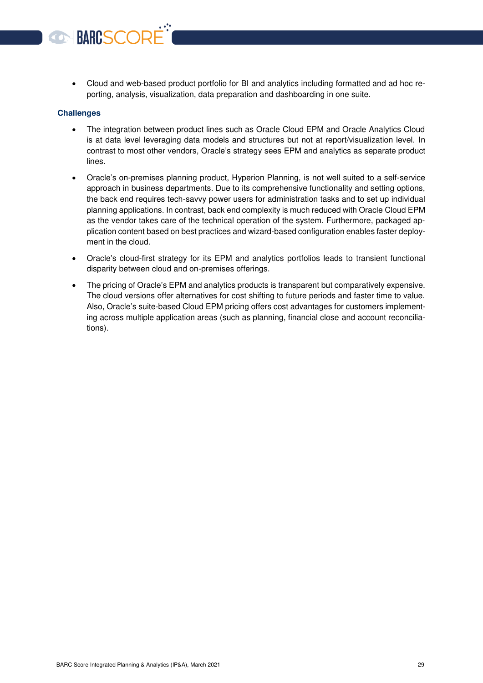Cloud and web-based product portfolio for BI and analytics including formatted and ad hoc reporting, analysis, visualization, data preparation and dashboarding in one suite.

#### **Challenges**

BARCSCORI

- The integration between product lines such as Oracle Cloud EPM and Oracle Analytics Cloud is at data level leveraging data models and structures but not at report/visualization level. In contrast to most other vendors, Oracle's strategy sees EPM and analytics as separate product lines.
- Oracle's on-premises planning product, Hyperion Planning, is not well suited to a self-service approach in business departments. Due to its comprehensive functionality and setting options, the back end requires tech-savvy power users for administration tasks and to set up individual planning applications. In contrast, back end complexity is much reduced with Oracle Cloud EPM as the vendor takes care of the technical operation of the system. Furthermore, packaged application content based on best practices and wizard-based configuration enables faster deployment in the cloud.
- Oracle's cloud-first strategy for its EPM and analytics portfolios leads to transient functional disparity between cloud and on-premises offerings.
- The pricing of Oracle's EPM and analytics products is transparent but comparatively expensive. The cloud versions offer alternatives for cost shifting to future periods and faster time to value. Also, Oracle's suite-based Cloud EPM pricing offers cost advantages for customers implementing across multiple application areas (such as planning, financial close and account reconciliations).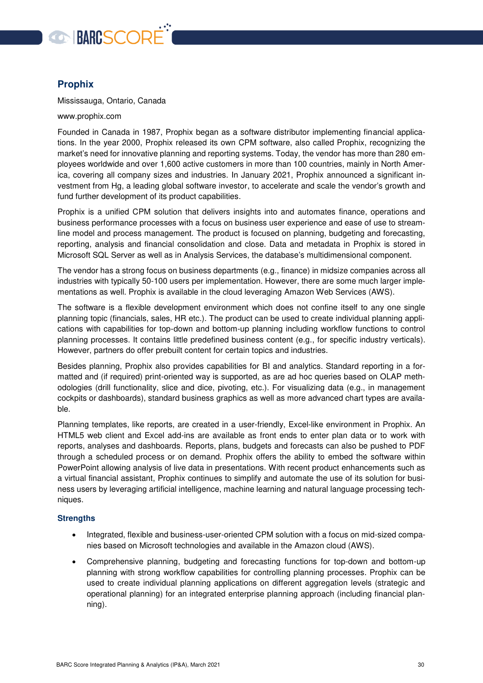

#### <span id="page-29-0"></span>**Prophix**

Mississauga, Ontario, Canada

www.prophix.com

Founded in Canada in 1987, Prophix began as a software distributor implementing financial applications. In the year 2000, Prophix released its own CPM software, also called Prophix, recognizing the market's need for innovative planning and reporting systems. Today, the vendor has more than 280 employees worldwide and over 1,600 active customers in more than 100 countries, mainly in North America, covering all company sizes and industries. In January 2021, Prophix announced a significant investment from Hg, a leading global software investor, to accelerate and scale the vendor's growth and fund further development of its product capabilities.

Prophix is a unified CPM solution that delivers insights into and automates finance, operations and business performance processes with a focus on business user experience and ease of use to streamline model and process management. The product is focused on planning, budgeting and forecasting, reporting, analysis and financial consolidation and close. Data and metadata in Prophix is stored in Microsoft SQL Server as well as in Analysis Services, the database's multidimensional component.

The vendor has a strong focus on business departments (e.g., finance) in midsize companies across all industries with typically 50-100 users per implementation. However, there are some much larger implementations as well. Prophix is available in the cloud leveraging Amazon Web Services (AWS).

The software is a flexible development environment which does not confine itself to any one single planning topic (financials, sales, HR etc.). The product can be used to create individual planning applications with capabilities for top-down and bottom-up planning including workflow functions to control planning processes. It contains little predefined business content (e.g., for specific industry verticals). However, partners do offer prebuilt content for certain topics and industries.

Besides planning, Prophix also provides capabilities for BI and analytics. Standard reporting in a formatted and (if required) print-oriented way is supported, as are ad hoc queries based on OLAP methodologies (drill functionality, slice and dice, pivoting, etc.). For visualizing data (e.g., in management cockpits or dashboards), standard business graphics as well as more advanced chart types are available.

Planning templates, like reports, are created in a user-friendly, Excel-like environment in Prophix. An HTML5 web client and Excel add-ins are available as front ends to enter plan data or to work with reports, analyses and dashboards. Reports, plans, budgets and forecasts can also be pushed to PDF through a scheduled process or on demand. Prophix offers the ability to embed the software within PowerPoint allowing analysis of live data in presentations. With recent product enhancements such as a virtual financial assistant, Prophix continues to simplify and automate the use of its solution for business users by leveraging artificial intelligence, machine learning and natural language processing techniques.

- Integrated, flexible and business-user-oriented CPM solution with a focus on mid-sized companies based on Microsoft technologies and available in the Amazon cloud (AWS).
- Comprehensive planning, budgeting and forecasting functions for top-down and bottom-up planning with strong workflow capabilities for controlling planning processes. Prophix can be used to create individual planning applications on different aggregation levels (strategic and operational planning) for an integrated enterprise planning approach (including financial planning).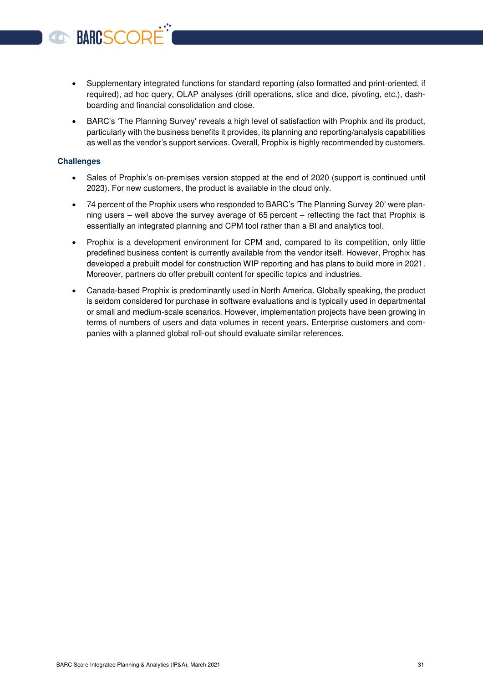- Supplementary integrated functions for standard reporting (also formatted and print-oriented, if required), ad hoc query, OLAP analyses (drill operations, slice and dice, pivoting, etc.), dashboarding and financial consolidation and close.
- BARC's 'The Planning Survey' reveals a high level of satisfaction with Prophix and its product, particularly with the business benefits it provides, its planning and reporting/analysis capabilities as well as the vendor's support services. Overall, Prophix is highly recommended by customers.

#### **Challenges**

**BARCSCOR** 

- Sales of Prophix's on-premises version stopped at the end of 2020 (support is continued until 2023). For new customers, the product is available in the cloud only.
- 74 percent of the Prophix users who responded to BARC's 'The Planning Survey 20' were planning users – well above the survey average of 65 percent – reflecting the fact that Prophix is essentially an integrated planning and CPM tool rather than a BI and analytics tool.
- Prophix is a development environment for CPM and, compared to its competition, only little predefined business content is currently available from the vendor itself. However, Prophix has developed a prebuilt model for construction WIP reporting and has plans to build more in 2021. Moreover, partners do offer prebuilt content for specific topics and industries.
- Canada-based Prophix is predominantly used in North America. Globally speaking, the product is seldom considered for purchase in software evaluations and is typically used in departmental or small and medium-scale scenarios. However, implementation projects have been growing in terms of numbers of users and data volumes in recent years. Enterprise customers and companies with a planned global roll-out should evaluate similar references.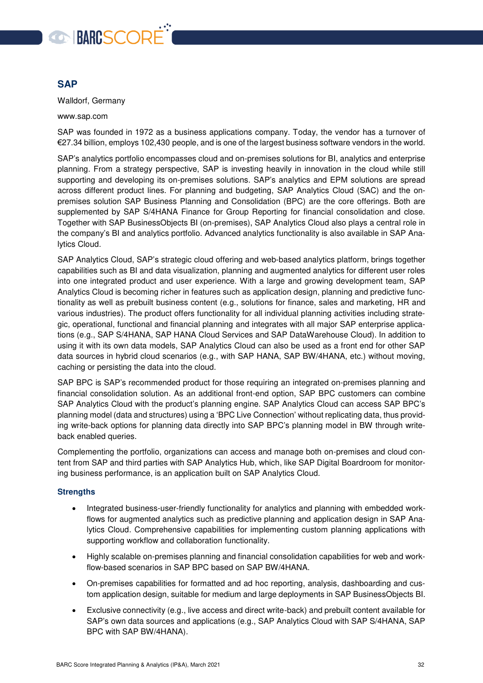

#### <span id="page-31-0"></span>**SAP**

Walldorf, Germany

www.sap.com

SAP was founded in 1972 as a business applications company. Today, the vendor has a turnover of €27.34 billion, employs 102,430 people, and is one of the largest business software vendors in the world.

SAP's analytics portfolio encompasses cloud and on-premises solutions for BI, analytics and enterprise planning. From a strategy perspective, SAP is investing heavily in innovation in the cloud while still supporting and developing its on-premises solutions. SAP's analytics and EPM solutions are spread across different product lines. For planning and budgeting, SAP Analytics Cloud (SAC) and the onpremises solution SAP Business Planning and Consolidation (BPC) are the core offerings. Both are supplemented by SAP S/4HANA Finance for Group Reporting for financial consolidation and close. Together with SAP BusinessObjects BI (on-premises), SAP Analytics Cloud also plays a central role in the company's BI and analytics portfolio. Advanced analytics functionality is also available in SAP Analytics Cloud.

SAP Analytics Cloud, SAP's strategic cloud offering and web-based analytics platform, brings together capabilities such as BI and data visualization, planning and augmented analytics for different user roles into one integrated product and user experience. With a large and growing development team, SAP Analytics Cloud is becoming richer in features such as application design, planning and predictive functionality as well as prebuilt business content (e.g., solutions for finance, sales and marketing, HR and various industries). The product offers functionality for all individual planning activities including strategic, operational, functional and financial planning and integrates with all major SAP enterprise applications (e.g., SAP S/4HANA, SAP HANA Cloud Services and SAP DataWarehouse Cloud). In addition to using it with its own data models, SAP Analytics Cloud can also be used as a front end for other SAP data sources in hybrid cloud scenarios (e.g., with SAP HANA, SAP BW/4HANA, etc.) without moving, caching or persisting the data into the cloud.

SAP BPC is SAP's recommended product for those requiring an integrated on-premises planning and financial consolidation solution. As an additional front-end option, SAP BPC customers can combine SAP Analytics Cloud with the product's planning engine. SAP Analytics Cloud can access SAP BPC's planning model (data and structures) using a 'BPC Live Connection' without replicating data, thus providing write-back options for planning data directly into SAP BPC's planning model in BW through writeback enabled queries.

Complementing the portfolio, organizations can access and manage both on-premises and cloud content from SAP and third parties with SAP Analytics Hub, which, like SAP Digital Boardroom for monitoring business performance, is an application built on SAP Analytics Cloud.

- Integrated business-user-friendly functionality for analytics and planning with embedded workflows for augmented analytics such as predictive planning and application design in SAP Analytics Cloud. Comprehensive capabilities for implementing custom planning applications with supporting workflow and collaboration functionality.
- Highly scalable on-premises planning and financial consolidation capabilities for web and workflow-based scenarios in SAP BPC based on SAP BW/4HANA.
- On-premises capabilities for formatted and ad hoc reporting, analysis, dashboarding and custom application design, suitable for medium and large deployments in SAP BusinessObjects BI.
- Exclusive connectivity (e.g., live access and direct write-back) and prebuilt content available for SAP's own data sources and applications (e.g., SAP Analytics Cloud with SAP S/4HANA, SAP BPC with SAP BW/4HANA).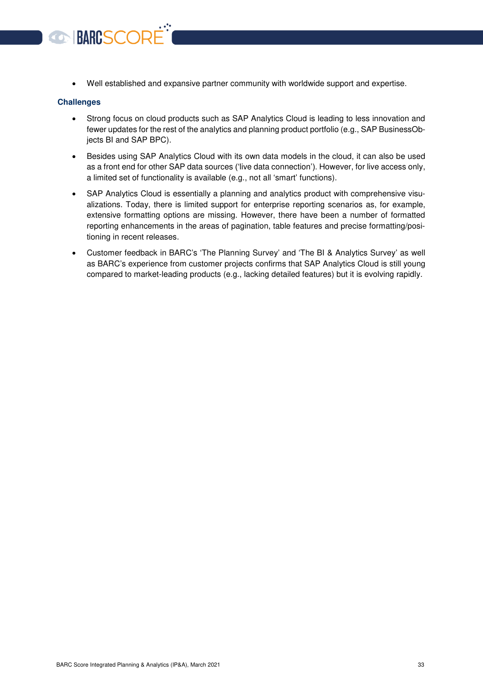Well established and expansive partner community with worldwide support and expertise.

#### **Challenges**

**BARCSCOR** 

- Strong focus on cloud products such as SAP Analytics Cloud is leading to less innovation and fewer updates for the rest of the analytics and planning product portfolio (e.g., SAP BusinessObjects BI and SAP BPC).
- Besides using SAP Analytics Cloud with its own data models in the cloud, it can also be used as a front end for other SAP data sources ('live data connection'). However, for live access only, a limited set of functionality is available (e.g., not all 'smart' functions).
- SAP Analytics Cloud is essentially a planning and analytics product with comprehensive visualizations. Today, there is limited support for enterprise reporting scenarios as, for example, extensive formatting options are missing. However, there have been a number of formatted reporting enhancements in the areas of pagination, table features and precise formatting/positioning in recent releases.
- Customer feedback in BARC's 'The Planning Survey' and 'The BI & Analytics Survey' as well as BARC's experience from customer projects confirms that SAP Analytics Cloud is still young compared to market-leading products (e.g., lacking detailed features) but it is evolving rapidly.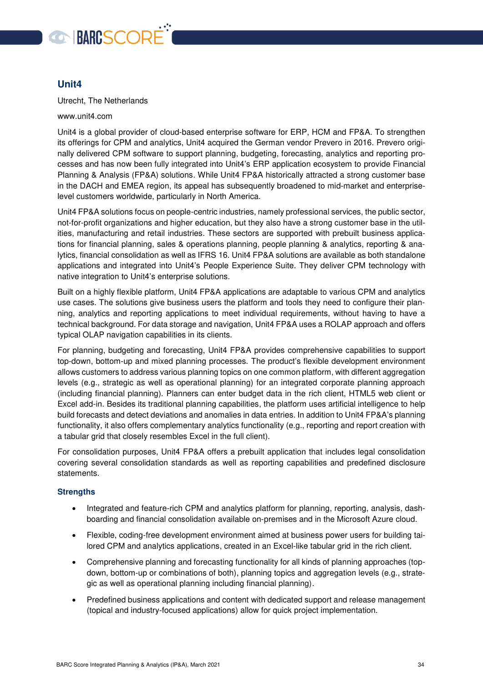

#### <span id="page-33-0"></span>**Unit4**

Utrecht, The Netherlands

www.unit4.com

Unit4 is a global provider of cloud-based enterprise software for ERP, HCM and FP&A. To strengthen its offerings for CPM and analytics, Unit4 acquired the German vendor Prevero in 2016. Prevero originally delivered CPM software to support planning, budgeting, forecasting, analytics and reporting processes and has now been fully integrated into Unit4's ERP application ecosystem to provide Financial Planning & Analysis (FP&A) solutions. While Unit4 FP&A historically attracted a strong customer base in the DACH and EMEA region, its appeal has subsequently broadened to mid-market and enterpriselevel customers worldwide, particularly in North America.

Unit4 FP&A solutions focus on people-centric industries, namely professional services, the public sector, not-for-profit organizations and higher education, but they also have a strong customer base in the utilities, manufacturing and retail industries. These sectors are supported with prebuilt business applications for financial planning, sales & operations planning, people planning & analytics, reporting & analytics, financial consolidation as well as IFRS 16. Unit4 FP&A solutions are available as both standalone applications and integrated into Unit4's People Experience Suite. They deliver CPM technology with native integration to Unit4's enterprise solutions.

Built on a highly flexible platform, Unit4 FP&A applications are adaptable to various CPM and analytics use cases. The solutions give business users the platform and tools they need to configure their planning, analytics and reporting applications to meet individual requirements, without having to have a technical background. For data storage and navigation, Unit4 FP&A uses a ROLAP approach and offers typical OLAP navigation capabilities in its clients.

For planning, budgeting and forecasting, Unit4 FP&A provides comprehensive capabilities to support top-down, bottom-up and mixed planning processes. The product's flexible development environment allows customers to address various planning topics on one common platform, with different aggregation levels (e.g., strategic as well as operational planning) for an integrated corporate planning approach (including financial planning). Planners can enter budget data in the rich client, HTML5 web client or Excel add-in. Besides its traditional planning capabilities, the platform uses artificial intelligence to help build forecasts and detect deviations and anomalies in data entries. In addition to Unit4 FP&A's planning functionality, it also offers complementary analytics functionality (e.g., reporting and report creation with a tabular grid that closely resembles Excel in the full client).

For consolidation purposes, Unit4 FP&A offers a prebuilt application that includes legal consolidation covering several consolidation standards as well as reporting capabilities and predefined disclosure statements.

- Integrated and feature-rich CPM and analytics platform for planning, reporting, analysis, dashboarding and financial consolidation available on-premises and in the Microsoft Azure cloud.
- Flexible, coding-free development environment aimed at business power users for building tailored CPM and analytics applications, created in an Excel-like tabular grid in the rich client.
- Comprehensive planning and forecasting functionality for all kinds of planning approaches (topdown, bottom-up or combinations of both), planning topics and aggregation levels (e.g., strategic as well as operational planning including financial planning).
- Predefined business applications and content with dedicated support and release management (topical and industry-focused applications) allow for quick project implementation.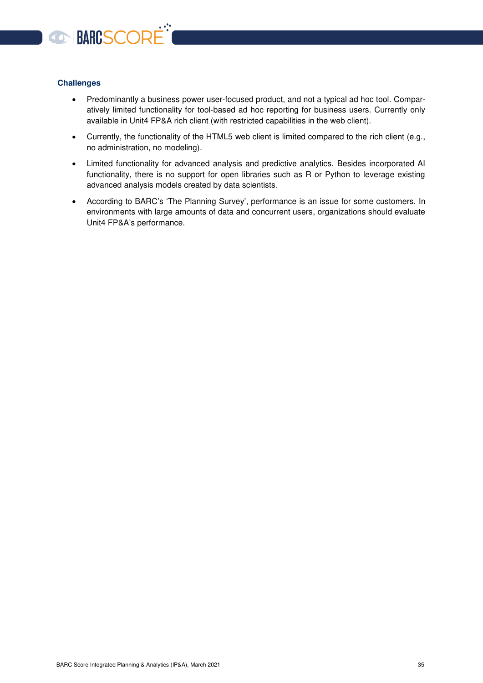

#### **Challenges**

- Predominantly a business power user-focused product, and not a typical ad hoc tool. Comparatively limited functionality for tool-based ad hoc reporting for business users. Currently only available in Unit4 FP&A rich client (with restricted capabilities in the web client).
- Currently, the functionality of the HTML5 web client is limited compared to the rich client (e.g., no administration, no modeling).
- Limited functionality for advanced analysis and predictive analytics. Besides incorporated AI functionality, there is no support for open libraries such as R or Python to leverage existing advanced analysis models created by data scientists.
- According to BARC's 'The Planning Survey', performance is an issue for some customers. In environments with large amounts of data and concurrent users, organizations should evaluate Unit4 FP&A's performance.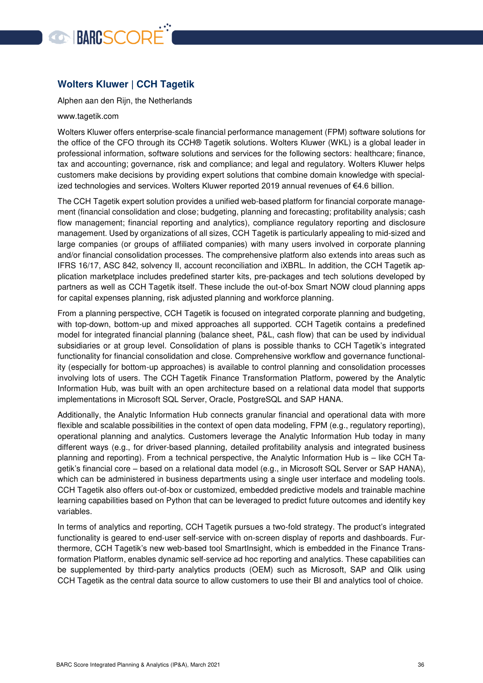

#### <span id="page-35-0"></span>**Wolters Kluwer | CCH Tagetik**

Alphen aan den Rijn, the Netherlands

#### [www.tagetik.com](http://www.tagetik.com/)

Wolters Kluwer offers enterprise-scale financial performance management (FPM) software solutions for the office of the CFO through its CCH® Tagetik solutions. Wolters Kluwer (WKL) is a global leader in professional information, software solutions and services for the following sectors: healthcare; finance, tax and accounting; governance, risk and compliance; and legal and regulatory. Wolters Kluwer helps customers make decisions by providing expert solutions that combine domain knowledge with specialized technologies and services. Wolters Kluwer reported 2019 annual revenues of €4.6 billion.

The CCH Tagetik expert solution provides a unified web-based platform for financial corporate management (financial consolidation and close; budgeting, planning and forecasting; profitability analysis; cash flow management; financial reporting and analytics), compliance regulatory reporting and disclosure management. Used by organizations of all sizes, CCH Tagetik is particularly appealing to mid-sized and large companies (or groups of affiliated companies) with many users involved in corporate planning and/or financial consolidation processes. The comprehensive platform also extends into areas such as IFRS 16/17, ASC 842, solvency II, account reconciliation and iXBRL. In addition, the CCH Tagetik application marketplace includes predefined starter kits, pre-packages and tech solutions developed by partners as well as CCH Tagetik itself. These include the out-of-box Smart NOW cloud planning apps for capital expenses planning, risk adjusted planning and workforce planning.

From a planning perspective, CCH Tagetik is focused on integrated corporate planning and budgeting, with top-down, bottom-up and mixed approaches all supported. CCH Tagetik contains a predefined model for integrated financial planning (balance sheet, P&L, cash flow) that can be used by individual subsidiaries or at group level. Consolidation of plans is possible thanks to CCH Tagetik's integrated functionality for financial consolidation and close. Comprehensive workflow and governance functionality (especially for bottom-up approaches) is available to control planning and consolidation processes involving lots of users. The CCH Tagetik Finance Transformation Platform, powered by the Analytic Information Hub, was built with an open architecture based on a relational data model that supports implementations in Microsoft SQL Server, Oracle, PostgreSQL and SAP HANA.

Additionally, the Analytic Information Hub connects granular financial and operational data with more flexible and scalable possibilities in the context of open data modeling, FPM (e.g., regulatory reporting), operational planning and analytics. Customers leverage the Analytic Information Hub today in many different ways (e.g., for driver-based planning, detailed profitability analysis and integrated business planning and reporting). From a technical perspective, the Analytic Information Hub is – like CCH Tagetik's financial core – based on a relational data model (e.g., in Microsoft SQL Server or SAP HANA), which can be administered in business departments using a single user interface and modeling tools. CCH Tagetik also offers out-of-box or customized, embedded predictive models and trainable machine learning capabilities based on Python that can be leveraged to predict future outcomes and identify key variables.

In terms of analytics and reporting, CCH Tagetik pursues a two-fold strategy. The product's integrated functionality is geared to end-user self-service with on-screen display of reports and dashboards. Furthermore, CCH Tagetik's new web-based tool SmartInsight, which is embedded in the Finance Transformation Platform, enables dynamic self-service ad hoc reporting and analytics. These capabilities can be supplemented by third-party analytics products (OEM) such as Microsoft, SAP and Qlik using CCH Tagetik as the central data source to allow customers to use their BI and analytics tool of choice.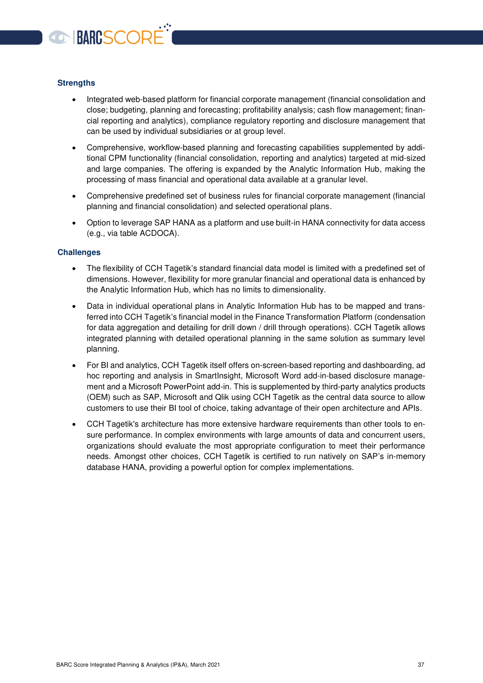

#### **Strengths**

- Integrated web-based platform for financial corporate management (financial consolidation and close; budgeting, planning and forecasting; profitability analysis; cash flow management; financial reporting and analytics), compliance regulatory reporting and disclosure management that can be used by individual subsidiaries or at group level.
- Comprehensive, workflow-based planning and forecasting capabilities supplemented by additional CPM functionality (financial consolidation, reporting and analytics) targeted at mid-sized and large companies. The offering is expanded by the Analytic Information Hub, making the processing of mass financial and operational data available at a granular level.
- Comprehensive predefined set of business rules for financial corporate management (financial planning and financial consolidation) and selected operational plans.
- Option to leverage SAP HANA as a platform and use built-in HANA connectivity for data access (e.g., via table ACDOCA).

#### **Challenges**

- The flexibility of CCH Tagetik's standard financial data model is limited with a predefined set of dimensions. However, flexibility for more granular financial and operational data is enhanced by the Analytic Information Hub, which has no limits to dimensionality.
- Data in individual operational plans in Analytic Information Hub has to be mapped and transferred into CCH Tagetik's financial model in the Finance Transformation Platform (condensation for data aggregation and detailing for drill down / drill through operations). CCH Tagetik allows integrated planning with detailed operational planning in the same solution as summary level planning.
- For BI and analytics, CCH Tagetik itself offers on-screen-based reporting and dashboarding, ad hoc reporting and analysis in SmartInsight, Microsoft Word add-in-based disclosure management and a Microsoft PowerPoint add-in. This is supplemented by third-party analytics products (OEM) such as SAP, Microsoft and Qlik using CCH Tagetik as the central data source to allow customers to use their BI tool of choice, taking advantage of their open architecture and APIs.
- CCH Tagetik's architecture has more extensive hardware requirements than other tools to ensure performance. In complex environments with large amounts of data and concurrent users, organizations should evaluate the most appropriate configuration to meet their performance needs. Amongst other choices, CCH Tagetik is certified to run natively on SAP's in-memory database HANA, providing a powerful option for complex implementations.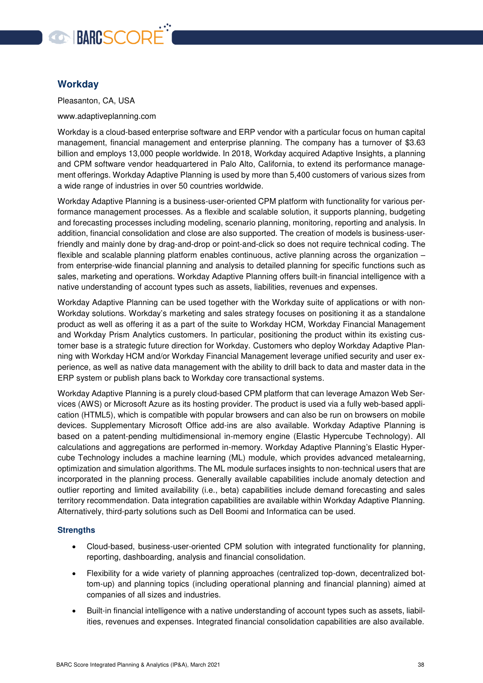

#### <span id="page-37-0"></span>**Workday**

Pleasanton, CA, USA

www.adaptiveplanning.com

Workday is a cloud-based enterprise software and ERP vendor with a particular focus on human capital management, financial management and enterprise planning. The company has a turnover of \$3.63 billion and employs 13,000 people worldwide. In 2018, Workday acquired Adaptive Insights, a planning and CPM software vendor headquartered in Palo Alto, California, to extend its performance management offerings. Workday Adaptive Planning is used by more than 5,400 customers of various sizes from a wide range of industries in over 50 countries worldwide.

Workday Adaptive Planning is a business-user-oriented CPM platform with functionality for various performance management processes. As a flexible and scalable solution, it supports planning, budgeting and forecasting processes including modeling, scenario planning, monitoring, reporting and analysis. In addition, financial consolidation and close are also supported. The creation of models is business-userfriendly and mainly done by drag-and-drop or point-and-click so does not require technical coding. The flexible and scalable planning platform enables continuous, active planning across the organization – from enterprise-wide financial planning and analysis to detailed planning for specific functions such as sales, marketing and operations. Workday Adaptive Planning offers built-in financial intelligence with a native understanding of account types such as assets, liabilities, revenues and expenses.

Workday Adaptive Planning can be used together with the Workday suite of applications or with non-Workday solutions. Workday's marketing and sales strategy focuses on positioning it as a standalone product as well as offering it as a part of the suite to Workday HCM, Workday Financial Management and Workday Prism Analytics customers. In particular, positioning the product within its existing customer base is a strategic future direction for Workday. Customers who deploy Workday Adaptive Planning with Workday HCM and/or Workday Financial Management leverage unified security and user experience, as well as native data management with the ability to drill back to data and master data in the ERP system or publish plans back to Workday core transactional systems.

Workday Adaptive Planning is a purely cloud-based CPM platform that can leverage Amazon Web Services (AWS) or Microsoft Azure as its hosting provider. The product is used via a fully web-based application (HTML5), which is compatible with popular browsers and can also be run on browsers on mobile devices. Supplementary Microsoft Office add-ins are also available. Workday Adaptive Planning is based on a patent-pending multidimensional in-memory engine (Elastic Hypercube Technology). All calculations and aggregations are performed in-memory. Workday Adaptive Planning's Elastic Hypercube Technology includes a machine learning (ML) module, which provides advanced metalearning, optimization and simulation algorithms. The ML module surfaces insights to non-technical users that are incorporated in the planning process. Generally available capabilities include anomaly detection and outlier reporting and limited availability (i.e., beta) capabilities include demand forecasting and sales territory recommendation. Data integration capabilities are available within Workday Adaptive Planning. Alternatively, third-party solutions such as Dell Boomi and Informatica can be used.

- Cloud-based, business-user-oriented CPM solution with integrated functionality for planning, reporting, dashboarding, analysis and financial consolidation.
- Flexibility for a wide variety of planning approaches (centralized top-down, decentralized bottom-up) and planning topics (including operational planning and financial planning) aimed at companies of all sizes and industries.
- Built-in financial intelligence with a native understanding of account types such as assets, liabilities, revenues and expenses. Integrated financial consolidation capabilities are also available.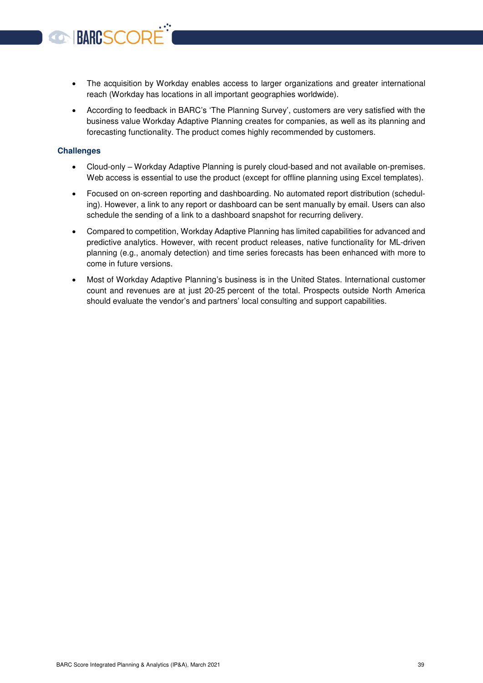- The acquisition by Workday enables access to larger organizations and greater international reach (Workday has locations in all important geographies worldwide).
- According to feedback in BARC's 'The Planning Survey', customers are very satisfied with the business value Workday Adaptive Planning creates for companies, as well as its planning and forecasting functionality. The product comes highly recommended by customers.

#### **Challenges**

BARCSCORE

- Cloud-only Workday Adaptive Planning is purely cloud-based and not available on-premises. Web access is essential to use the product (except for offline planning using Excel templates).
- Focused on on-screen reporting and dashboarding. No automated report distribution (scheduling). However, a link to any report or dashboard can be sent manually by email. Users can also schedule the sending of a link to a dashboard snapshot for recurring delivery.
- Compared to competition, Workday Adaptive Planning has limited capabilities for advanced and predictive analytics. However, with recent product releases, native functionality for ML-driven planning (e.g., anomaly detection) and time series forecasts has been enhanced with more to come in future versions.
- Most of Workday Adaptive Planning's business is in the United States. International customer count and revenues are at just 20-25 percent of the total. Prospects outside North America should evaluate the vendor's and partners' local consulting and support capabilities.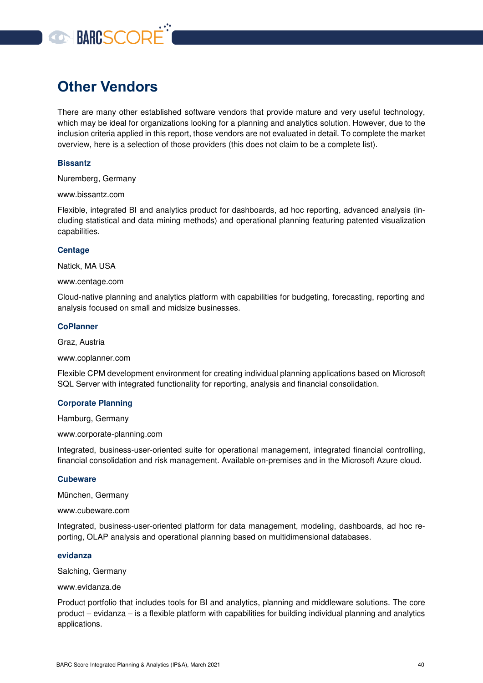# **OBARCSCORE**

# <span id="page-39-0"></span>**Other Vendors**

There are many other established software vendors that provide mature and very useful technology, which may be ideal for organizations looking for a planning and analytics solution. However, due to the inclusion criteria applied in this report, those vendors are not evaluated in detail. To complete the market overview, here is a selection of those providers (this does not claim to be a complete list).

#### **Bissantz**

Nuremberg, Germany

www.bissantz.com

Flexible, integrated BI and analytics product for dashboards, ad hoc reporting, advanced analysis (including statistical and data mining methods) and operational planning featuring patented visualization capabilities.

#### **Centage**

Natick, MA USA

www.centage.com

Cloud-native planning and analytics platform with capabilities for budgeting, forecasting, reporting and analysis focused on small and midsize businesses.

#### **CoPlanner**

Graz, Austria

www.coplanner.com

Flexible CPM development environment for creating individual planning applications based on Microsoft SQL Server with integrated functionality for reporting, analysis and financial consolidation.

#### **Corporate Planning**

Hamburg, Germany

www.corporate-planning.com

Integrated, business-user-oriented suite for operational management, integrated financial controlling, financial consolidation and risk management. Available on-premises and in the Microsoft Azure cloud.

#### **Cubeware**

München, Germany

www.cubeware.com

Integrated, business-user-oriented platform for data management, modeling, dashboards, ad hoc reporting, OLAP analysis and operational planning based on multidimensional databases.

#### **evidanza**

Salching, Germany

www.evidanza.de

Product portfolio that includes tools for BI and analytics, planning and middleware solutions. The core product – evidanza – is a flexible platform with capabilities for building individual planning and analytics applications.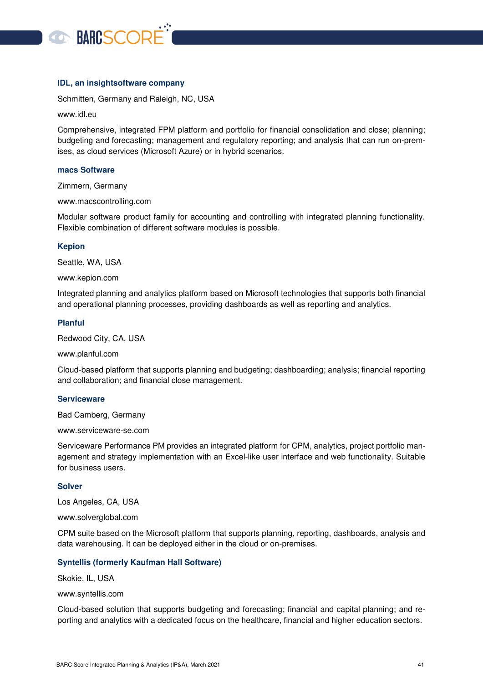

#### **IDL, an insightsoftware company**

Schmitten, Germany and Raleigh, NC, USA

#### www.idl.eu

Comprehensive, integrated FPM platform and portfolio for financial consolidation and close; planning; budgeting and forecasting; management and regulatory reporting; and analysis that can run on-premises, as cloud services (Microsoft Azure) or in hybrid scenarios.

#### **macs Software**

Zimmern, Germany

www.macscontrolling.com

Modular software product family for accounting and controlling with integrated planning functionality. Flexible combination of different software modules is possible.

#### **Kepion**

Seattle, WA, USA

www.kepion.com

Integrated planning and analytics platform based on Microsoft technologies that supports both financial and operational planning processes, providing dashboards as well as reporting and analytics.

#### **Planful**

Redwood City, CA, USA

www.planful.com

Cloud-based platform that supports planning and budgeting; dashboarding; analysis; financial reporting and collaboration; and financial close management.

#### **Serviceware**

Bad Camberg, Germany

www.serviceware-se.com

Serviceware Performance PM provides an integrated platform for CPM, analytics, project portfolio management and strategy implementation with an Excel-like user interface and web functionality. Suitable for business users.

#### **Solver**

Los Angeles, CA, USA

www.solverglobal.com

CPM suite based on the Microsoft platform that supports planning, reporting, dashboards, analysis and data warehousing. It can be deployed either in the cloud or on-premises.

#### **Syntellis (formerly Kaufman Hall Software)**

Skokie, IL, USA

www.syntellis.com

Cloud-based solution that supports budgeting and forecasting; financial and capital planning; and reporting and analytics with a dedicated focus on the healthcare, financial and higher education sectors.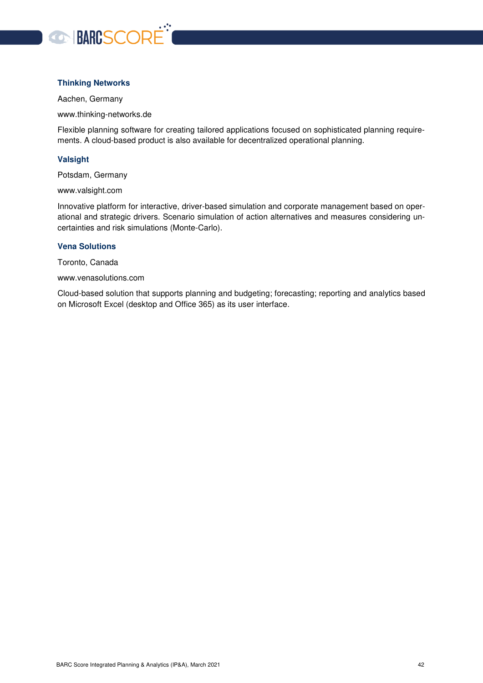

#### **Thinking Networks**

Aachen, Germany

www.thinking-networks.de

Flexible planning software for creating tailored applications focused on sophisticated planning requirements. A cloud-based product is also available for decentralized operational planning.

#### **Valsight**

Potsdam, Germany

www.valsight.com

Innovative platform for interactive, driver-based simulation and corporate management based on operational and strategic drivers. Scenario simulation of action alternatives and measures considering uncertainties and risk simulations (Monte-Carlo).

#### **Vena Solutions**

Toronto, Canada

www.venasolutions.com

Cloud-based solution that supports planning and budgeting; forecasting; reporting and analytics based on Microsoft Excel (desktop and Office 365) as its user interface.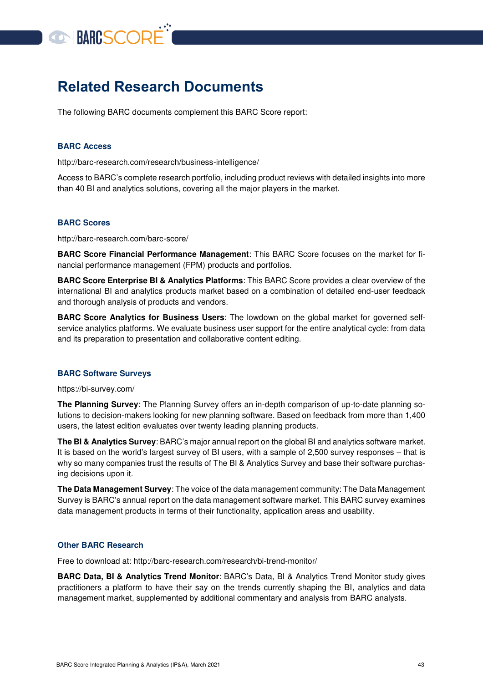

## <span id="page-42-0"></span>**Related Research Documents**

The following BARC documents complement this BARC Score report:

#### **BARC Access**

http://barc-research.com/research/business-intelligence/

Access to BARC's complete research portfolio, including product reviews with detailed insights into more than 40 BI and analytics solutions, covering all the major players in the market.

#### **BARC Scores**

http://barc-research.com/barc-score/

**BARC Score Financial Performance Management**: This BARC Score focuses on the market for financial performance management (FPM) products and portfolios.

**BARC Score Enterprise BI & Analytics Platforms**: This BARC Score provides a clear overview of the international BI and analytics products market based on a combination of detailed end-user feedback and thorough analysis of products and vendors.

**BARC Score Analytics for Business Users**: The lowdown on the global market for governed selfservice analytics platforms. We evaluate business user support for the entire analytical cycle: from data and its preparation to presentation and collaborative content editing.

#### **BARC Software Surveys**

https://bi-survey.com/

**The Planning Survey**: The Planning Survey offers an in-depth comparison of up-to-date planning solutions to decision-makers looking for new planning software. Based on feedback from more than 1,400 users, the latest edition evaluates over twenty leading planning products.

**The BI & Analytics Survey**: BARC's major annual report on the global BI and analytics software market. It is based on the world's largest survey of BI users, with a sample of 2,500 survey responses – that is why so many companies trust the results of The BI & Analytics Survey and base their software purchasing decisions upon it.

**The Data Management Survey**: The voice of the data management community: The Data Management Survey is BARC's annual report on the data management software market. This BARC survey examines data management products in terms of their functionality, application areas and usability.

#### **Other BARC Research**

Free to download at: http://barc-research.com/research/bi-trend-monitor/

**BARC Data, BI & Analytics Trend Monitor**: BARC's Data, BI & Analytics Trend Monitor study gives practitioners a platform to have their say on the trends currently shaping the BI, analytics and data management market, supplemented by additional commentary and analysis from BARC analysts.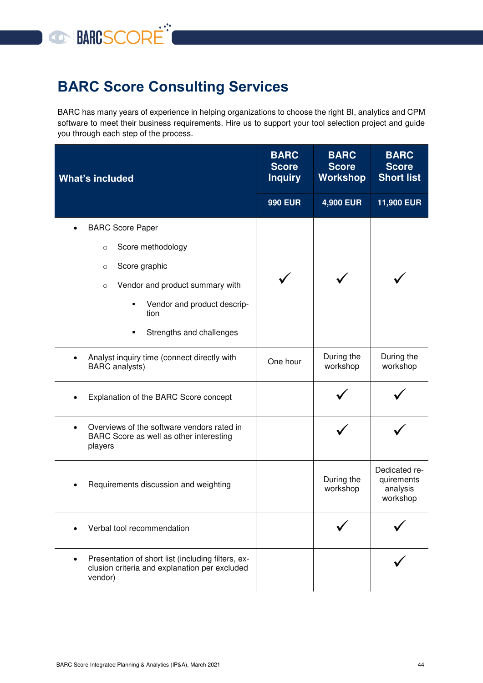# **O BARCSCORE**

# <span id="page-43-0"></span>**BARC Score Consulting Services**

BARC has many years of experience in helping organizations to choose the right BI, analytics and CPM software to meet their business requirements. Hire us to support your tool selection project and guide you through each step of the process.

| <b>What's included</b>                                                                                         | <b>BARC</b><br><b>Score</b><br><b>Inquiry</b> | <b>BARC</b><br><b>Score</b><br><b>Workshop</b> | <b>BARC</b><br><b>Score</b><br><b>Short list</b>    |
|----------------------------------------------------------------------------------------------------------------|-----------------------------------------------|------------------------------------------------|-----------------------------------------------------|
|                                                                                                                | <b>990 EUR</b>                                | 4,900 EUR                                      | 11,900 EUR                                          |
| <b>BARC Score Paper</b>                                                                                        |                                               |                                                |                                                     |
| Score methodology<br>$\circ$                                                                                   |                                               |                                                |                                                     |
| Score graphic<br>$\circ$                                                                                       |                                               |                                                |                                                     |
| Vendor and product summary with<br>$\circ$                                                                     |                                               |                                                |                                                     |
| Vendor and product descrip-<br>٠<br>tion                                                                       |                                               |                                                |                                                     |
| Strengths and challenges                                                                                       |                                               |                                                |                                                     |
| Analyst inquiry time (connect directly with<br><b>BARC</b> analysts)                                           | One hour                                      | During the<br>workshop                         | During the<br>workshop                              |
| Explanation of the BARC Score concept                                                                          |                                               |                                                |                                                     |
| Overviews of the software vendors rated in<br>$\bullet$<br>BARC Score as well as other interesting<br>players  |                                               |                                                |                                                     |
| Requirements discussion and weighting                                                                          |                                               | During the<br>workshop                         | Dedicated re-<br>quirements<br>analysis<br>workshop |
| Verbal tool recommendation                                                                                     |                                               |                                                |                                                     |
| Presentation of short list (including filters, ex-<br>clusion criteria and explanation per excluded<br>vendor) |                                               |                                                |                                                     |